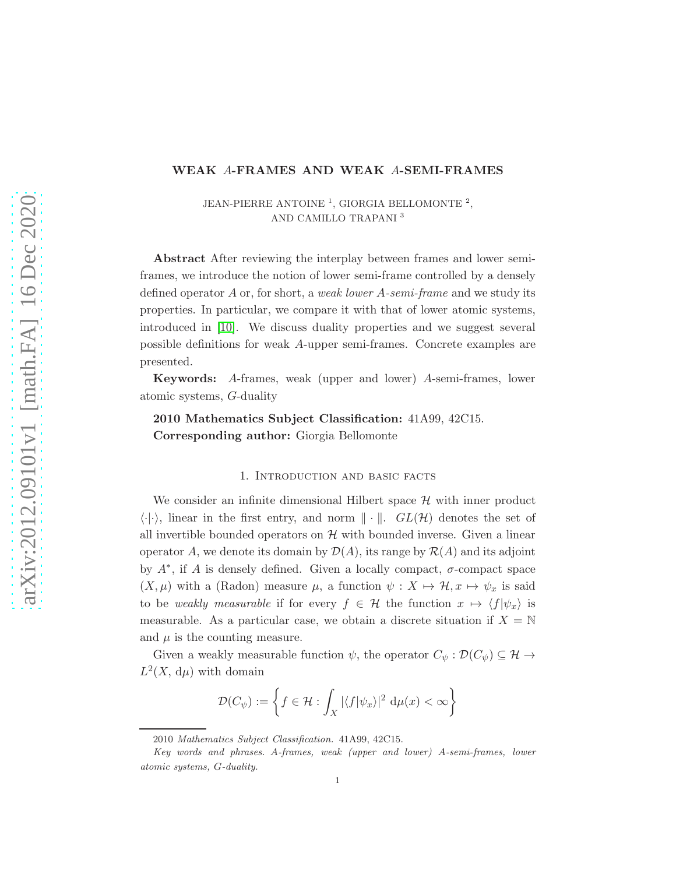## WEAK A-FRAMES AND WEAK A-SEMI-FRAMES

JEAN-PIERRE ANTOINE<sup>1</sup>, GIORGIA BELLOMONTE<sup>2</sup>, AND CAMILLO TRAPANI <sup>3</sup>

Abstract After reviewing the interplay between frames and lower semiframes, we introduce the notion of lower semi-frame controlled by a densely defined operator A or, for short, a *weak lower* A*-semi-frame* and we study its properties. In particular, we compare it with that of lower atomic systems, introduced in [\[10\]](#page-20-0). We discuss duality properties and we suggest several possible definitions for weak A-upper semi-frames. Concrete examples are presented.

Keywords: A-frames, weak (upper and lower) A-semi-frames, lower atomic systems, G-duality

2010 Mathematics Subject Classification: 41A99, 42C15. Corresponding author: Giorgia Bellomonte

### 1. Introduction and basic facts

We consider an infinite dimensional Hilbert space  $H$  with inner product  $\langle \cdot | \cdot \rangle$ , linear in the first entry, and norm  $\| \cdot \|$ .  $GL(\mathcal{H})$  denotes the set of all invertible bounded operators on  $H$  with bounded inverse. Given a linear operator A, we denote its domain by  $\mathcal{D}(A)$ , its range by  $\mathcal{R}(A)$  and its adjoint by  $A^*$ , if A is densely defined. Given a locally compact,  $\sigma$ -compact space  $(X, \mu)$  with a (Radon) measure  $\mu$ , a function  $\psi : X \mapsto \mathcal{H}, x \mapsto \psi_x$  is said to be *weakly measurable* if for every  $f \in \mathcal{H}$  the function  $x \mapsto \langle f | \psi_x \rangle$  is measurable. As a particular case, we obtain a discrete situation if  $X = \mathbb{N}$ and  $\mu$  is the counting measure.

Given a weakly measurable function  $\psi$ , the operator  $C_{\psi} : \mathcal{D}(C_{\psi}) \subseteq \mathcal{H} \rightarrow$  $L^2(X, d\mu)$  with domain

$$
\mathcal{D}(C_{\psi}) := \left\{ f \in \mathcal{H} : \int_{X} |\langle f | \psi_x \rangle|^2 \, \mathrm{d}\mu(x) < \infty \right\}
$$

<sup>2010</sup> Mathematics Subject Classification. 41A99, 42C15.

Key words and phrases. A-frames, weak (upper and lower) A-semi-frames, lower atomic systems, G-duality.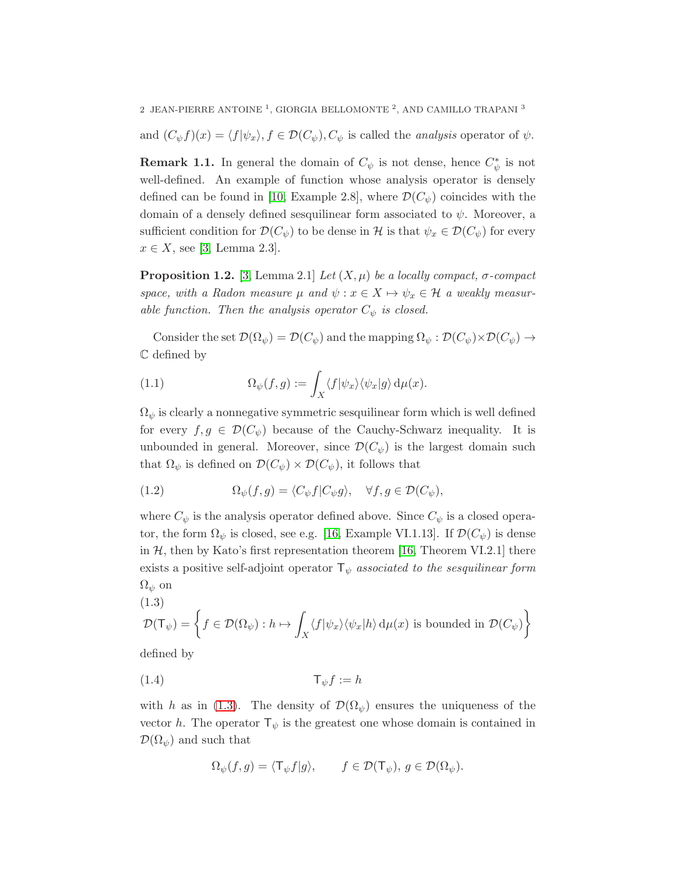and  $(C_{\psi}f)(x) = \langle f|\psi_x\rangle, f \in \mathcal{D}(C_{\psi}), C_{\psi}$  is called the *analysis* operator of  $\psi$ .

**Remark 1.1.** In general the domain of  $C_{\psi}$  is not dense, hence  $C_{\psi}^{*}$  is not well-defined. An example of function whose analysis operator is densely defined can be found in [\[10,](#page-20-0) Example 2.8], where  $\mathcal{D}(C_{\psi})$  coincides with the domain of a densely defined sesquilinear form associated to  $\psi$ . Moreover, a sufficient condition for  $\mathcal{D}(C_{\psi})$  to be dense in H is that  $\psi_x \in \mathcal{D}(C_{\psi})$  for every  $x \in X$ , see [\[3,](#page-19-0) Lemma 2.3].

<span id="page-1-4"></span>**Proposition 1.2.** [\[3,](#page-19-0) Lemma 2.1] *Let*  $(X, \mu)$  *be a locally compact,*  $\sigma$ *-compact space, with a Radon measure*  $\mu$  *and*  $\psi$  :  $x \in X \mapsto \psi_x \in \mathcal{H}$  *a weakly measurable function. Then the analysis operator*  $C_{\psi}$  *is closed.* 

Consider the set  $\mathcal{D}(\Omega_{\psi}) = \mathcal{D}(C_{\psi})$  and the mapping  $\Omega_{\psi} : \mathcal{D}(C_{\psi}) \times \mathcal{D}(C_{\psi}) \to$ C defined by

<span id="page-1-3"></span>(1.1) 
$$
\Omega_{\psi}(f,g) := \int_{X} \langle f | \psi_x \rangle \langle \psi_x | g \rangle \, \mathrm{d}\mu(x).
$$

 $\Omega_{\psi}$  is clearly a nonnegative symmetric sesquilinear form which is well defined for every  $f, g \in \mathcal{D}(C_{\psi})$  because of the Cauchy-Schwarz inequality. It is unbounded in general. Moreover, since  $\mathcal{D}(C_{\psi})$  is the largest domain such that  $\Omega_{\psi}$  is defined on  $\mathcal{D}(C_{\psi}) \times \mathcal{D}(C_{\psi})$ , it follows that

<span id="page-1-1"></span>(1.2) 
$$
\Omega_{\psi}(f,g) = \langle C_{\psi}f|C_{\psi}g\rangle, \quad \forall f,g \in \mathcal{D}(C_{\psi}),
$$

where  $C_{\psi}$  is the analysis operator defined above. Since  $C_{\psi}$  is a closed operator, the form  $\Omega_{\psi}$  is closed, see e.g. [\[16,](#page-20-1) Example VI.1.13]. If  $\mathcal{D}(C_{\psi})$  is dense in  $H$ , then by Kato's first representation theorem [\[16,](#page-20-1) Theorem VI.2.1] there exists a positive self-adjoint operator  $\mathsf{T}_{\psi}$  *associated to the sesquilinear form*  $\Omega_{\psi}$  on

<span id="page-1-0"></span>(1.3)  
\n
$$
\mathcal{D}(\mathsf{T}_{\psi}) = \left\{ f \in \mathcal{D}(\Omega_{\psi}) : h \mapsto \int_{X} \langle f | \psi_{x} \rangle \langle \psi_{x} | h \rangle \, d\mu(x) \text{ is bounded in } \mathcal{D}(C_{\psi}) \right\}
$$

defined by

$$
(1.4) \t\t T_{\psi}f := h
$$

with h as in [\(1.3\)](#page-1-0). The density of  $\mathcal{D}(\Omega_{\psi})$  ensures the uniqueness of the vector h. The operator  $\mathsf{T}_{\psi}$  is the greatest one whose domain is contained in  $\mathcal{D}(\Omega_{\psi})$  and such that

<span id="page-1-2"></span>
$$
\Omega_{\psi}(f,g)=\langle \mathsf{T}_{\psi}f|g\rangle, \qquad f\in \mathcal{D}(\mathsf{T}_{\psi}),\,g\in \mathcal{D}(\Omega_{\psi}).
$$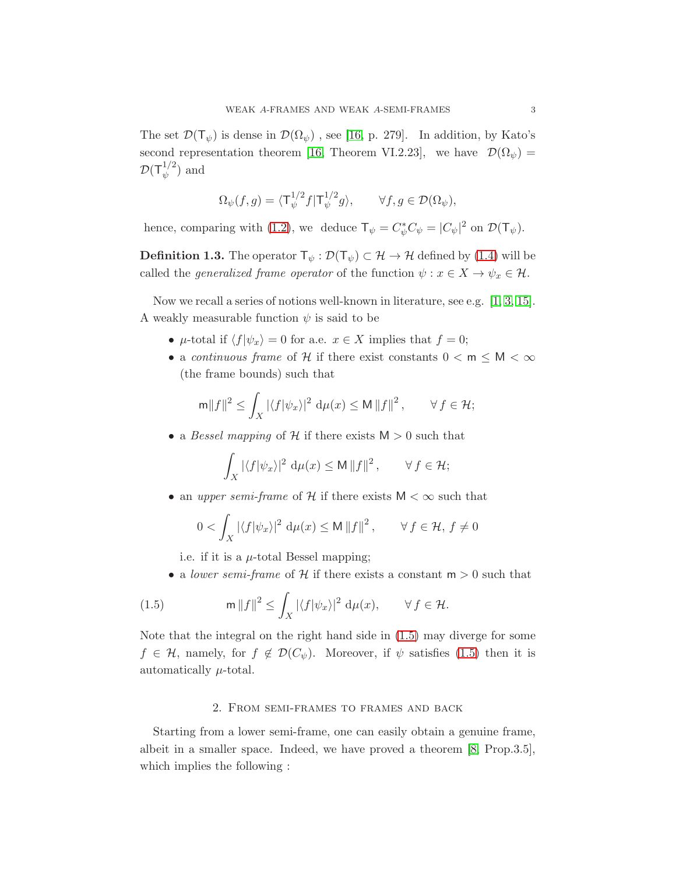The set  $\mathcal{D}(\mathsf{T}_{\psi})$  is dense in  $\mathcal{D}(\Omega_{\psi})$ , see [\[16,](#page-20-1) p. 279]. In addition, by Kato's second representation theorem [\[16,](#page-20-1) Theorem VI.2.23], we have  $\mathcal{D}(\Omega_{\psi}) =$  $\mathcal{D}(\mathsf{T}^{1/2}_\psi$  $\psi^{1/2})$  and

$$
\Omega_{\psi}(f,g) = \langle \mathsf{T}_{\psi}^{1/2} f | \mathsf{T}_{\psi}^{1/2} g \rangle, \qquad \forall f, g \in \mathcal{D}(\Omega_{\psi}),
$$

hence, comparing with [\(1.2\)](#page-1-1), we deduce  $\mathsf{T}_{\psi} = C_{\psi}^* C_{\psi} = |C_{\psi}|^2$  on  $\mathcal{D}(\mathsf{T}_{\psi})$ .

**Definition 1.3.** The operator  $\mathsf{T}_{\psi} : \mathcal{D}(\mathsf{T}_{\psi}) \subset \mathcal{H} \to \mathcal{H}$  defined by [\(1.4\)](#page-1-2) will be called the *generalized frame operator* of the function  $\psi : x \in X \to \psi_x \in \mathcal{H}$ .

Now we recall a series of notions well-known in literature, see e.g. [\[1,](#page-19-1) [3,](#page-19-0) [15\]](#page-20-2). A weakly measurable function  $\psi$  is said to be

- $\mu$ -total if  $\langle f|\psi_x \rangle = 0$  for a.e.  $x \in X$  implies that  $f = 0$ ;
- a *continuous frame* of H if there exist constants  $0 < m \le M < \infty$ (the frame bounds) such that

$$
\mathsf{m} \|f\|^2 \le \int_X |\langle f | \psi_x \rangle|^2 \, \mathsf{d} \mu(x) \le \mathsf{M} \|f\|^2 \,, \qquad \forall \, f \in \mathcal{H};
$$

• a *Bessel mapping* of  $H$  if there exists  $M > 0$  such that

$$
\int_X |\langle f | \psi_x \rangle|^2 \, \mathrm{d}\mu(x) \leq \mathsf{M} \, \|f\|^2 \,, \qquad \forall \, f \in \mathcal{H};
$$

• an *upper semi-frame* of H if there exists  $M < \infty$  such that

$$
0 < \int_X |\langle f | \psi_x \rangle|^2 \, \mathrm{d}\mu(x) \le \mathsf{M} \, \|f\|^2 \,, \qquad \forall \, f \in \mathcal{H}, \, f \ne 0
$$

i.e. if it is a  $\mu$ -total Bessel mapping;

<span id="page-2-0"></span>• a *lower semi-frame* of  $H$  if there exists a constant  $m > 0$  such that

(1.5) 
$$
\mathsf{m} \, \|f\|^2 \leq \int_X |\langle f | \psi_x \rangle|^2 \, \mathrm{d} \mu(x), \qquad \forall \, f \in \mathcal{H}.
$$

Note that the integral on the right hand side in [\(1.5\)](#page-2-0) may diverge for some  $f \in \mathcal{H}$ , namely, for  $f \notin \mathcal{D}(C_{\psi})$ . Moreover, if  $\psi$  satisfies [\(1.5\)](#page-2-0) then it is automatically  $\mu$ -total.

#### 2. From semi-frames to frames and back

<span id="page-2-1"></span>Starting from a lower semi-frame, one can easily obtain a genuine frame, albeit in a smaller space. Indeed, we have proved a theorem [\[8,](#page-20-3) Prop.3.5], which implies the following :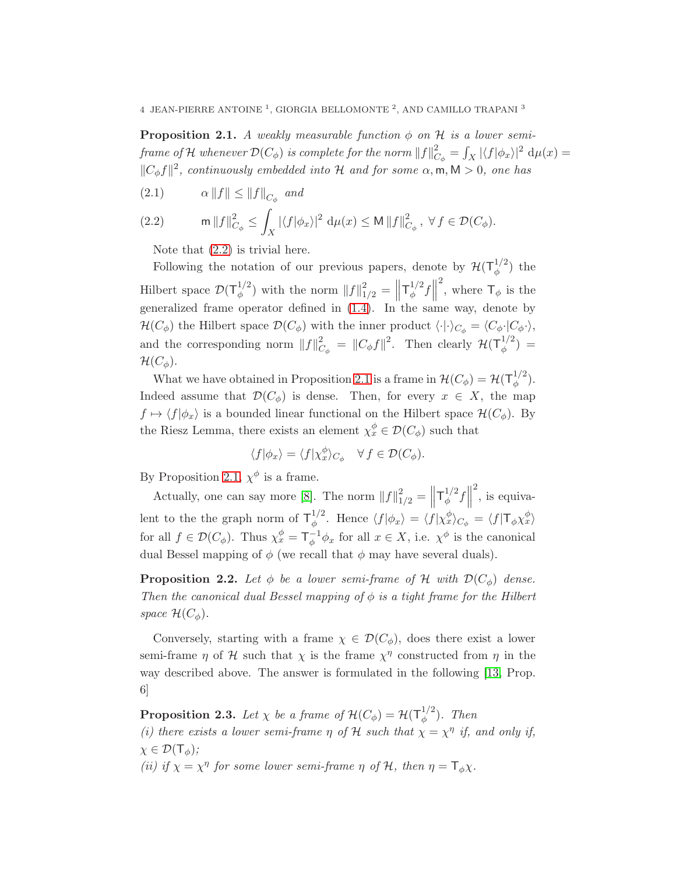$4\,$  JEAN-PIERRE ANTOINE  $^1,$  GIORGIA BELLOMONTE  $^2,$  AND CAMILLO TRAPANI  $^3$ 

<span id="page-3-1"></span>**Proposition 2.1.** *A weakly measurable function*  $\phi$  *on*  $\mathcal{H}$  *is a lower semiframe of*  ${\mathcal H}$  *whenever*  ${\mathcal D}(C_\phi)$  *is complete for the norm*  $\|f\|_C^2$  $\frac{2}{C_\phi} = \int_X |\langle f | \phi_x \rangle|^2 \,\,\mathrm{d}\mu(x) =$  $||C_{\phi}f||^2$ , continuously embedded into  $\mathcal H$  and for some  $\alpha, \mathsf{m}, \mathsf{M} > 0$ , one has

<span id="page-3-0"></span>
$$
(2.1) \qquad \alpha \left\| f \right\| \le \left\| f \right\|_{C_{\phi}} \text{ and}
$$

(2.2) 
$$
\mathsf{m} \, \|f\|_{C_{\phi}}^2 \leq \int_X |\langle f | \phi_x \rangle|^2 \, \mathrm{d} \mu(x) \leq \mathsf{M} \, \|f\|_{C_{\phi}}^2, \ \forall \, f \in \mathcal{D}(C_{\phi}).
$$

Note that [\(2.2\)](#page-3-0) is trivial here.

Following the notation of our previous papers, denote by  $\mathcal{H}(\mathsf{T}_{\phi}^{1/2})$  $\binom{1}{\phi}$  the Hilbert space  $\mathcal{D}(\mathsf{T}_{\phi}^{1/2})$  $\binom{1/2}{\phi}$  with the norm  $||f||_{1/2}^2 = ||$  $\mathsf{T}^{1/2}_+$  $\frac{1}{2} f$ <sup>2</sup>, where  $\mathsf{T}_{\phi}$  is the generalized frame operator defined in [\(1.4\)](#page-1-2). In the same way, denote by  $\mathcal{H}(C_{\phi})$  the Hilbert space  $\mathcal{D}(C_{\phi})$  with the inner product  $\langle \cdot | \cdot \rangle_{C_{\phi}} = \langle C_{\phi} \cdot | C_{\phi} \cdot \rangle$ , and the corresponding norm  $||f||_C^2$  $C_{\phi} = ||C_{\phi}f||^2$ . Then clearly  $\mathcal{H}(\mathsf{T}_{\phi}^{1/2})$  $\binom{1}{\phi} =$  $\mathcal{H}(C_{\phi}).$ 

What we have obtained in Proposition [2.1](#page-3-1) is a frame in  $\mathcal{H}(C_{\phi}) = \mathcal{H}(T_{\phi}^{1/2})$  $\frac{1}{\phi}^2$ ). Indeed assume that  $\mathcal{D}(C_{\phi})$  is dense. Then, for every  $x \in X$ , the map  $f \mapsto \langle f | \phi_x \rangle$  is a bounded linear functional on the Hilbert space  $\mathcal{H}(C_{\phi})$ . By the Riesz Lemma, there exists an element  $\chi_x^{\phi} \in \mathcal{D}(C_{\phi})$  such that

$$
\langle f | \phi_x \rangle = \langle f | \chi_x^{\phi} \rangle_{C_{\phi}} \quad \forall f \in \mathcal{D}(C_{\phi}).
$$

By Proposition [2.1,](#page-3-1)  $\chi^{\phi}$  is a frame.

Actually, one can say more [\[8\]](#page-20-3). The norm  $||f||_{1/2}^2 = ||$  $\mathsf{T}^{1/2}_+$  $\frac{1}{2} f$  $\frac{2}{\pi}$ , is equivalent to the the graph norm of  $\mathsf{T}_{\phi}^{1/2}$ <sup>1/2</sup>. Hence  $\langle f | \phi_x \rangle = \langle f | \chi_x^{\phi} \rangle_{C_{\phi}} = \langle f | \mathsf{T}_{\phi} \chi_x^{\phi} \rangle$ for all  $f \in \mathcal{D}(C_{\phi})$ . Thus  $\chi_x^{\phi} = \mathsf{T}_{\phi}^{-1}$  $_{\phi}^{-1}\phi_x$  for all  $x \in X$ , i.e.  $\chi^{\phi}$  is the canonical dual Bessel mapping of  $\phi$  (we recall that  $\phi$  may have several duals).

**Proposition 2.2.** Let  $\phi$  be a lower semi-frame of H with  $\mathcal{D}(C_{\phi})$  dense. *Then the canonical dual Bessel mapping of* φ *is a tight frame for the Hilbert space*  $\mathcal{H}(C_{\phi})$ .

Conversely, starting with a frame  $\chi \in \mathcal{D}(C_{\phi})$ , does there exist a lower semi-frame  $\eta$  of  $\mathcal H$  such that  $\chi$  is the frame  $\chi^{\eta}$  constructed from  $\eta$  in the way described above. The answer is formulated in the following [\[13,](#page-20-4) Prop. 6]

**Proposition 2.3.** Let  $\chi$  be a frame of  $\mathcal{H}(C_{\phi}) = \mathcal{H}(T_{\phi}^{1/2})$ φ )*. Then*

*(i) there exists a lower semi-frame*  $\eta$  *of*  $\mathcal{H}$  *such that*  $\chi = \chi^{\eta}$  *if, and only if,*  $\chi \in \mathcal{D}(\mathsf{T}_{\phi})$ ;

*(ii) if*  $\chi = \chi^{\eta}$  *for some lower semi-frame*  $\eta$  *of*  $\mathcal{H}$ *, then*  $\eta = \mathsf{T}_{\phi} \chi$ *.*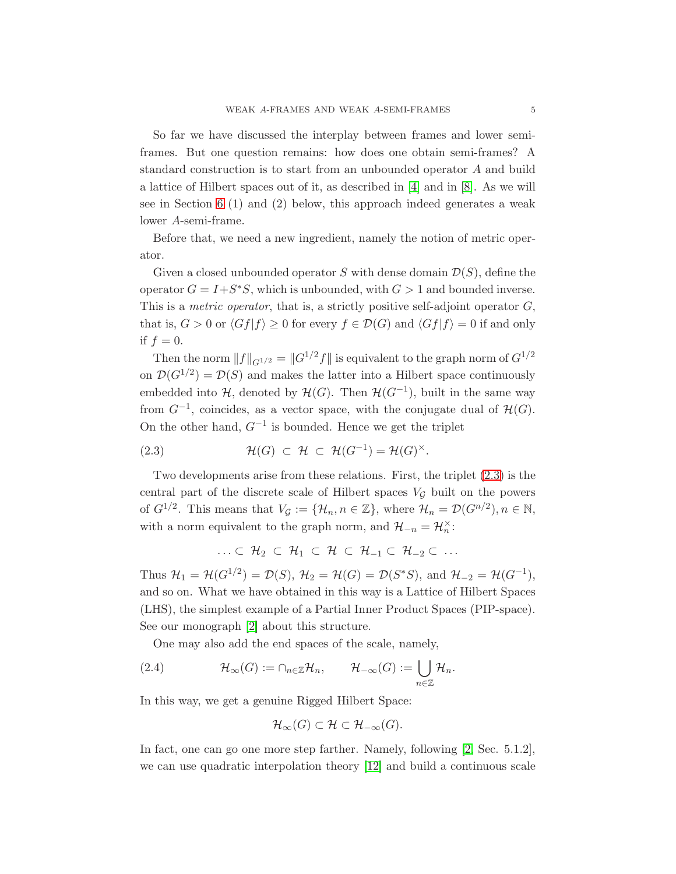So far we have discussed the interplay between frames and lower semiframes. But one question remains: how does one obtain semi-frames? A standard construction is to start from an unbounded operator A and build a lattice of Hilbert spaces out of it, as described in [\[4\]](#page-19-2) and in [\[8\]](#page-20-3). As we will see in Section [6](#page-17-0) (1) and (2) below, this approach indeed generates a weak lower A-semi-frame.

Before that, we need a new ingredient, namely the notion of metric operator.

Given a closed unbounded operator S with dense domain  $\mathcal{D}(S)$ , define the operator  $G = I + S^*S$ , which is unbounded, with  $G > 1$  and bounded inverse. This is a *metric operator*, that is, a strictly positive self-adjoint operator G, that is,  $G > 0$  or  $\langle Gf|f \rangle \geq 0$  for every  $f \in \mathcal{D}(G)$  and  $\langle Gf|f \rangle = 0$  if and only if  $f = 0$ .

Then the norm  $||f||_{G^{1/2}} = ||G^{1/2}f||$  is equivalent to the graph norm of  $G^{1/2}$ on  $\mathcal{D}(G^{1/2}) = \mathcal{D}(S)$  and makes the latter into a Hilbert space continuously embedded into  $H$ , denoted by  $H(G)$ . Then  $H(G^{-1})$ , built in the same way from  $G^{-1}$ , coincides, as a vector space, with the conjugate dual of  $\mathcal{H}(G)$ . On the other hand,  $G^{-1}$  is bounded. Hence we get the triplet

<span id="page-4-0"></span>(2.3) 
$$
\mathcal{H}(G) \subset \mathcal{H} \subset \mathcal{H}(G^{-1}) = \mathcal{H}(G)^{\times}.
$$

Two developments arise from these relations. First, the triplet [\(2.3\)](#page-4-0) is the central part of the discrete scale of Hilbert spaces  $V_{\mathcal{G}}$  built on the powers of  $G^{1/2}$ . This means that  $V_{\mathcal{G}} := \{ \mathcal{H}_n, n \in \mathbb{Z} \}$ , where  $\mathcal{H}_n = \mathcal{D}(G^{n/2}), n \in \mathbb{N}$ , with a norm equivalent to the graph norm, and  $\mathcal{H}_{-n} = \mathcal{H}_n^{\times}$ :

$$
\ldots \subset \mathcal{H}_2 \subset \mathcal{H}_1 \subset \mathcal{H} \subset \mathcal{H}_{-1} \subset \mathcal{H}_{-2} \subset \ldots
$$

Thus  $\mathcal{H}_1 = \mathcal{H}(G^{1/2}) = \mathcal{D}(S)$ ,  $\mathcal{H}_2 = \mathcal{H}(G) = \mathcal{D}(S^*S)$ , and  $\mathcal{H}_{-2} = \mathcal{H}(G^{-1})$ , and so on. What we have obtained in this way is a Lattice of Hilbert Spaces (LHS), the simplest example of a Partial Inner Product Spaces (PIP-space). See our monograph [\[2\]](#page-19-3) about this structure.

<span id="page-4-1"></span>One may also add the end spaces of the scale, namely,

(2.4) 
$$
\mathcal{H}_{\infty}(G) := \cap_{n \in \mathbb{Z}} \mathcal{H}_n, \qquad \mathcal{H}_{-\infty}(G) := \bigcup_{n \in \mathbb{Z}} \mathcal{H}_n.
$$

In this way, we get a genuine Rigged Hilbert Space:

$$
\mathcal{H}_{\infty}(G) \subset \mathcal{H} \subset \mathcal{H}_{-\infty}(G).
$$

In fact, one can go one more step farther. Namely, following [\[2,](#page-19-3) Sec. 5.1.2], we can use quadratic interpolation theory [\[12\]](#page-20-5) and build a continuous scale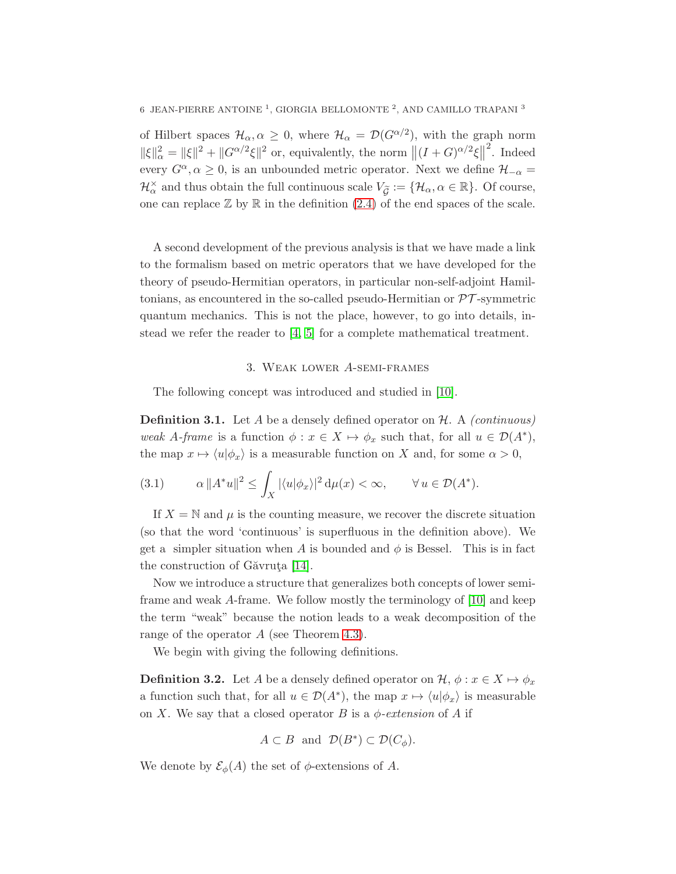of Hilbert spaces  $\mathcal{H}_{\alpha}, \alpha \geq 0$ , where  $\mathcal{H}_{\alpha} = \mathcal{D}(G^{\alpha/2})$ , with the graph norm  $\|\xi\|_{\alpha}^{2} = \|\xi\|^{2} + \|G^{\alpha/2}\xi\|^{2}$  or, equivalently, the norm  $\|(I+G)^{\alpha/2}\xi\|$ 2 . Indeed every  $G^{\alpha}, \alpha \geq 0$ , is an unbounded metric operator. Next we define  $\mathcal{H}_{-\alpha}$  =  $\mathcal{H}_\alpha^\times$  and thus obtain the full continuous scale  $V_{\widetilde{\mathcal{G}}}:=\{\mathcal{H}_\alpha,\alpha\in\mathbb{R}\}$ . Of course, one can replace  $\mathbb Z$  by  $\mathbb R$  in the definition [\(2.4\)](#page-4-1) of the end spaces of the scale.

A second development of the previous analysis is that we have made a link to the formalism based on metric operators that we have developed for the theory of pseudo-Hermitian operators, in particular non-self-adjoint Hamiltonians, as encountered in the so-called pseudo-Hermitian or  $\mathcal{PT}$ -symmetric quantum mechanics. This is not the place, however, to go into details, instead we refer the reader to [\[4,](#page-19-2) [5\]](#page-19-4) for a complete mathematical treatment.

#### 3. Weak lower A-semi-frames

The following concept was introduced and studied in [\[10\]](#page-20-0).

<span id="page-5-2"></span>Definition 3.1. Let A be a densely defined operator on H. A *(continuous) weak* A-frame is a function  $\phi: x \in X \mapsto \phi_x$  such that, for all  $u \in \mathcal{D}(A^*)$ , the map  $x \mapsto \langle u|\phi_x\rangle$  is a measurable function on X and, for some  $\alpha > 0$ ,

<span id="page-5-1"></span>(3.1) 
$$
\alpha \|A^*u\|^2 \leq \int_X |\langle u|\phi_x\rangle|^2 d\mu(x) < \infty, \qquad \forall u \in \mathcal{D}(A^*).
$$

If  $X = N$  and  $\mu$  is the counting measure, we recover the discrete situation (so that the word 'continuous' is superfluous in the definition above). We get a simpler situation when A is bounded and  $\phi$  is Bessel. This is in fact the construction of Găvruta  $[14]$ .

Now we introduce a structure that generalizes both concepts of lower semiframe and weak A-frame. We follow mostly the terminology of [\[10\]](#page-20-0) and keep the term "weak" because the notion leads to a weak decomposition of the range of the operator A (see Theorem [4.3\)](#page-10-0).

We begin with giving the following definitions.

<span id="page-5-0"></span>**Definition 3.2.** Let A be a densely defined operator on  $\mathcal{H}, \phi : x \in X \mapsto \phi_x$ a function such that, for all  $u \in \mathcal{D}(A^*)$ , the map  $x \mapsto \langle u | \phi_x \rangle$  is measurable on X. We say that a closed operator B is a  $\phi$ -extension of A if

$$
A\subset B \ \text{ and } \ {\mathcal D}(B^*)\subset {\mathcal D}(C_{\phi}).
$$

We denote by  $\mathcal{E}_{\phi}(A)$  the set of  $\phi$ -extensions of A.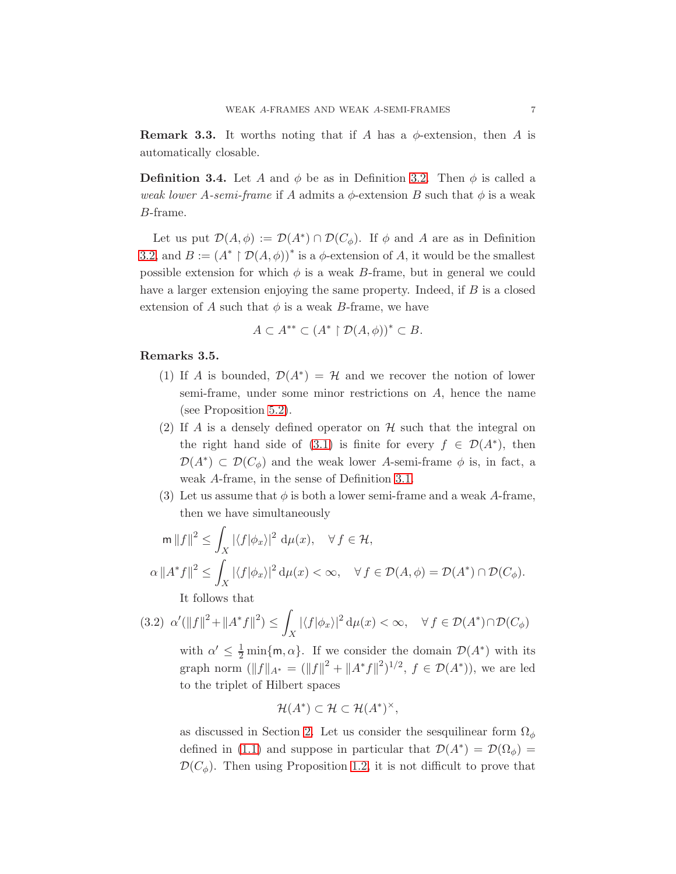**Remark 3.3.** It worths noting that if A has a  $\phi$ -extension, then A is automatically closable.

**Definition 3.4.** Let A and  $\phi$  be as in Definition [3.2.](#page-5-0) Then  $\phi$  is called a *weak lower* A-semi-frame if A admits a  $\phi$ -extension B such that  $\phi$  is a weak B-frame.

Let us put  $\mathcal{D}(A,\phi) := \mathcal{D}(A^*) \cap \mathcal{D}(C_{\phi})$ . If  $\phi$  and A are as in Definition [3.2,](#page-5-0) and  $B := (A^* \restriction \mathcal{D}(A, \phi))^*$  is a  $\phi$ -extension of A, it would be the smallest possible extension for which  $\phi$  is a weak B-frame, but in general we could have a larger extension enjoying the same property. Indeed, if  $B$  is a closed extension of A such that  $\phi$  is a weak B-frame, we have

$$
A \subset A^{**} \subset (A^* \restriction \mathcal{D}(A,\phi))^* \subset B.
$$

#### Remarks 3.5.

- (1) If A is bounded,  $\mathcal{D}(A^*) = \mathcal{H}$  and we recover the notion of lower semi-frame, under some minor restrictions on A, hence the name (see Proposition [5.2\)](#page-12-0).
- (2) If A is a densely defined operator on  $\mathcal H$  such that the integral on the right hand side of [\(3.1\)](#page-5-1) is finite for every  $f \in \mathcal{D}(A^*)$ , then  $\mathcal{D}(A^*)\subset \mathcal{D}(C_{\phi})$  and the weak lower A-semi-frame  $\phi$  is, in fact, a weak A-frame, in the sense of Definition [3.1.](#page-5-2)
- (3) Let us assume that  $\phi$  is both a lower semi-frame and a weak A-frame, then we have simultaneously

$$
m ||f||2 \le \int_X |\langle f|\phi_x\rangle|^2 d\mu(x), \quad \forall f \in \mathcal{H},
$$
  

$$
\alpha ||A^*f||2 \le \int_X |\langle f|\phi_x\rangle|^2 d\mu(x) < \infty, \quad \forall f \in \mathcal{D}(A, \phi) = \mathcal{D}(A^*) \cap \mathcal{D}(C_{\phi}).
$$

<span id="page-6-0"></span>It follows that

$$
(3.2) \ \alpha'(\|f\|^2 + \|A^*f\|^2) \le \int_X |\langle f|\phi_x\rangle|^2 \, \mathrm{d}\mu(x) < \infty, \quad \forall \, f \in \mathcal{D}(A^*) \cap \mathcal{D}(C_\phi)
$$

with  $\alpha' \leq \frac{1}{2} \min\{m, \alpha\}$ . If we consider the domain  $\mathcal{D}(A^*)$  with its graph norm  $(||f||_{A^*} = (||f||^2 + ||A^*f||^2)^{1/2}, f \in \mathcal{D}(A^*)),$  we are led to the triplet of Hilbert spaces

$$
\mathcal{H}(A^*)\subset \mathcal{H}\subset \mathcal{H}(A^*)^\times,
$$

as discussed in Section [2.](#page-2-1) Let us consider the sesquilinear form  $\Omega_{\phi}$ defined in [\(1.1\)](#page-1-3) and suppose in particular that  $\mathcal{D}(A^*) = \mathcal{D}(\Omega_{\phi}) =$  $\mathcal{D}(C_{\phi})$ . Then using Proposition [1.2,](#page-1-4) it is not difficult to prove that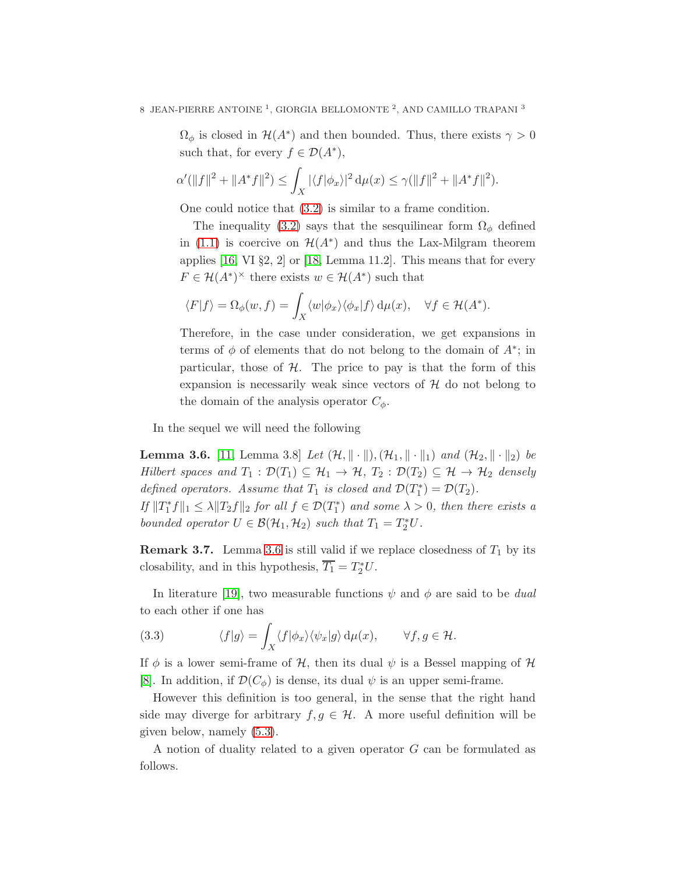$\Omega_{\phi}$  is closed in  $\mathcal{H}(A^*)$  and then bounded. Thus, there exists  $\gamma > 0$ such that, for every  $f \in \mathcal{D}(A^*),$ 

$$
\alpha'(\|f\|^2 + \|A^*f\|^2) \le \int_X |\langle f|\phi_x\rangle|^2 \, \mathrm{d}\mu(x) \le \gamma(\|f\|^2 + \|A^*f\|^2).
$$

One could notice that [\(3.2\)](#page-6-0) is similar to a frame condition.

The inequality [\(3.2\)](#page-6-0) says that the sesquilinear form  $\Omega_{\phi}$  defined in [\(1.1\)](#page-1-3) is coercive on  $\mathcal{H}(A^*)$  and thus the Lax-Milgram theorem applies  $[16, VI §2, 2]$  or  $[18, Lemma 11.2]$ . This means that for every  $F \in \mathcal{H}(A^*)^{\times}$  there exists  $w \in \mathcal{H}(A^*)$  such that

$$
\langle F|f\rangle = \Omega_{\phi}(w, f) = \int_{X} \langle w|\phi_x\rangle \langle \phi_x|f\rangle \,d\mu(x), \quad \forall f \in \mathcal{H}(A^*).
$$

Therefore, in the case under consideration, we get expansions in terms of  $\phi$  of elements that do not belong to the domain of  $A^*$ ; in particular, those of  $H$ . The price to pay is that the form of this expansion is necessarily weak since vectors of  $H$  do not belong to the domain of the analysis operator  $C_{\phi}$ .

In the sequel we will need the following

<span id="page-7-0"></span>**Lemma 3.6.** [\[11,](#page-20-8) Lemma 3.8] *Let*  $(\mathcal{H}, \|\cdot\|), (\mathcal{H}_1, \|\cdot\|_1)$  *and*  $(\mathcal{H}_2, \|\cdot\|_2)$  *be Hilbert spaces and*  $T_1 : \mathcal{D}(T_1) \subseteq \mathcal{H}_1 \rightarrow \mathcal{H}, T_2 : \mathcal{D}(T_2) \subseteq \mathcal{H} \rightarrow \mathcal{H}_2$  *densely defined operators. Assume that*  $T_1$  *is closed and*  $\mathcal{D}(T_1^*) = \mathcal{D}(T_2)$ *.* 

*If*  $||T_1^* f||_1 \leq \lambda ||T_2 f||_2$  *for all*  $f \in \mathcal{D}(T_1^*)$  *and some*  $\lambda > 0$ *, then there exists a bounded operator*  $U \in \mathcal{B}(\mathcal{H}_1, \mathcal{H}_2)$  *such that*  $T_1 = T_2^* U$ .

**Remark 3.7.** Lemma [3.6](#page-7-0) is still valid if we replace closedness of  $T_1$  by its closability, and in this hypothesis,  $\overline{T_1} = T_2^* U$ .

In literature [\[19\]](#page-20-9), two measurable functions  $\psi$  and  $\phi$  are said to be *dual* to each other if one has

<span id="page-7-1"></span>(3.3) 
$$
\langle f|g\rangle = \int_X \langle f|\phi_x\rangle \langle \psi_x|g\rangle d\mu(x), \qquad \forall f, g \in \mathcal{H}.
$$

If  $\phi$  is a lower semi-frame of H, then its dual  $\psi$  is a Bessel mapping of H [\[8\]](#page-20-3). In addition, if  $\mathcal{D}(C_{\phi})$  is dense, its dual  $\psi$  is an upper semi-frame.

However this definition is too general, in the sense that the right hand side may diverge for arbitrary  $f, g \in \mathcal{H}$ . A more useful definition will be given below, namely [\(5.3\)](#page-12-1).

A notion of duality related to a given operator  $G$  can be formulated as follows.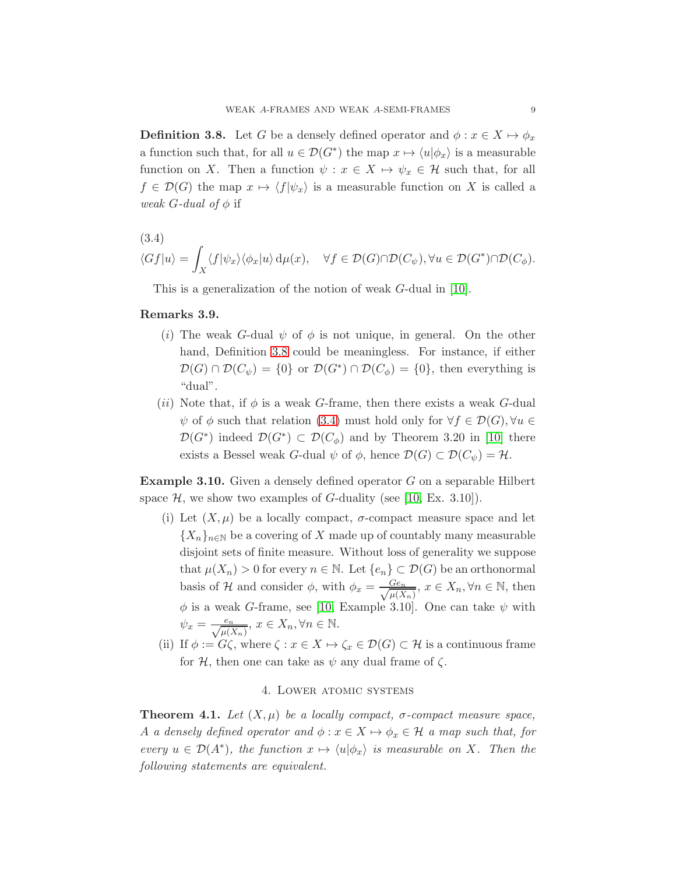<span id="page-8-0"></span>**Definition 3.8.** Let G be a densely defined operator and  $\phi: x \in X \mapsto \phi_x$ a function such that, for all  $u \in \mathcal{D}(G^*)$  the map  $x \mapsto \langle u | \phi_x \rangle$  is a measurable function on X. Then a function  $\psi : x \in X \mapsto \psi_x \in \mathcal{H}$  such that, for all  $f \in \mathcal{D}(G)$  the map  $x \mapsto \langle f|\psi_x \rangle$  is a measurable function on X is called a *weak*  $G$ -*dual of*  $\phi$  if

<span id="page-8-1"></span>(3.4)  
\n
$$
\langle Gf|u\rangle = \int_X \langle f|\psi_x\rangle \langle \phi_x|u\rangle d\mu(x), \quad \forall f \in \mathcal{D}(G) \cap \mathcal{D}(C_{\psi}), \forall u \in \mathcal{D}(G^*) \cap \mathcal{D}(C_{\phi}).
$$

This is a generalization of the notion of weak G-dual in [\[10\]](#page-20-0).

## Remarks 3.9.

- (i) The weak G-dual  $\psi$  of  $\phi$  is not unique, in general. On the other hand, Definition [3.8](#page-8-0) could be meaningless. For instance, if either  $\mathcal{D}(G) \cap \mathcal{D}(C_{\psi}) = \{0\}$  or  $\mathcal{D}(G^*) \cap \mathcal{D}(C_{\phi}) = \{0\}$ , then everything is "dual".
- (*ii*) Note that, if  $\phi$  is a weak G-frame, then there exists a weak G-dual  $\psi$  of  $\phi$  such that relation [\(3.4\)](#page-8-1) must hold only for  $\forall f \in \mathcal{D}(G), \forall u \in$  $\mathcal{D}(G^*)$  indeed  $\mathcal{D}(G^*) \subset \mathcal{D}(C_{\phi})$  and by Theorem 3.20 in [\[10\]](#page-20-0) there exists a Bessel weak G-dual  $\psi$  of  $\phi$ , hence  $\mathcal{D}(G) \subset \mathcal{D}(C_{\psi}) = \mathcal{H}$ .

Example 3.10. Given a densely defined operator G on a separable Hilbert space  $H$ , we show two examples of G-duality (see [\[10,](#page-20-0) Ex. 3.10]).

- (i) Let  $(X,\mu)$  be a locally compact,  $\sigma$ -compact measure space and let  ${X_n}_{n\in\mathbb{N}}$  be a covering of X made up of countably many measurable disjoint sets of finite measure. Without loss of generality we suppose that  $\mu(X_n) > 0$  for every  $n \in \mathbb{N}$ . Let  $\{e_n\} \subset \mathcal{D}(G)$  be an orthonormal basis of H and consider  $\phi$ , with  $\phi_x = \frac{Ge_n}{\sqrt{\mu(X)}}$  $\frac{Ge_n}{\mu(X_n)}$ ,  $x \in X_n, \forall n \in \mathbb{N}$ , then  $\phi$  is a weak G-frame, see [\[10,](#page-20-0) Example 3.10]. One can take  $\psi$  with  $\psi_x = \frac{e_n}{\sqrt{\mu(X_n)}}, x \in X_n, \forall n \in \mathbb{N}.$
- (ii) If  $\phi := G\zeta$ , where  $\zeta : x \in X \mapsto \zeta_x \in \mathcal{D}(G) \subset \mathcal{H}$  is a continuous frame for H, then one can take as  $\psi$  any dual frame of  $\zeta$ .

## 4. Lower atomic systems

<span id="page-8-2"></span>**Theorem 4.1.** Let  $(X, \mu)$  be a locally compact,  $\sigma$ -compact measure space, A *a densely defined operator and*  $\phi: x \in X \mapsto \phi_x \in \mathcal{H}$  *a map such that, for every*  $u \in \mathcal{D}(A^*)$ , the function  $x \mapsto \langle u | \phi_x \rangle$  is measurable on X. Then the *following statements are equivalent.*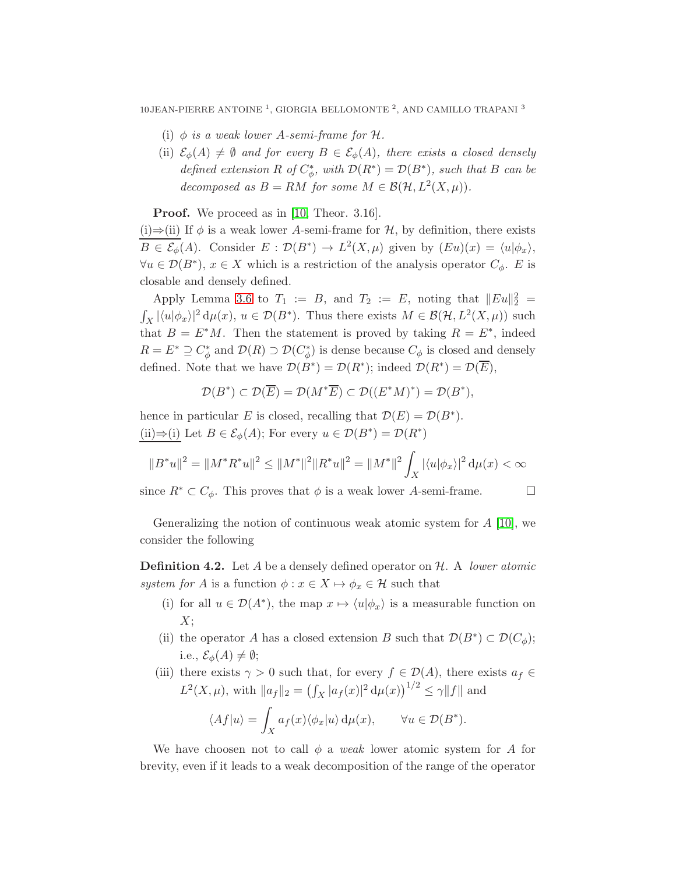- (i)  $\phi$  *is a weak lower A-semi-frame for*  $\mathcal{H}$ *.*
- (ii)  $\mathcal{E}_{\phi}(A) \neq \emptyset$  *and for every*  $B \in \mathcal{E}_{\phi}(A)$ *, there exists a closed densely defined extension*  $R$  *of*  $C^*_{\phi}$ *, with*  $\mathcal{D}(R^*) = \mathcal{D}(B^*)$ *, such that*  $B$  *can be decomposed as*  $B = RM$  *for some*  $M \in \mathcal{B}(\mathcal{H}, L^2(X, \mu)).$

**Proof.** We proceed as in [\[10,](#page-20-0) Theor. 3.16].

(i)⇒(ii) If  $\phi$  is a weak lower A-semi-frame for H, by definition, there exists  $B \in \mathcal{E}_{\phi}(A)$ . Consider  $E : \mathcal{D}(B^*) \to L^2(X,\mu)$  given by  $(Eu)(x) = \langle u | \phi_x \rangle$ ,  $\forall u \in \mathcal{D}(B^*)$ ,  $x \in X$  which is a restriction of the analysis operator  $C_{\phi}$ . E is closable and densely defined.

Apply Lemma [3.6](#page-7-0) to  $T_1 := B$ , and  $T_2 := E$ , noting that  $||Eu||_2^2 =$  $\int_X |\langle u|\phi_x\rangle|^2 d\mu(x), u \in \mathcal{D}(B^*)$ . Thus there exists  $M \in \mathcal{B}(\mathcal{H}, L^2(X, \mu))$  such that  $B = E^*M$ . Then the statement is proved by taking  $R = E^*$ , indeed  $R = E^* \supseteq C^*_{\phi}$  and  $\mathcal{D}(R) \supset \mathcal{D}(C^*_{\phi})$  is dense because  $C_{\phi}$  is closed and densely defined. Note that we have  $\mathcal{D}(B^*) = \mathcal{D}(R^*)$ ; indeed  $\mathcal{D}(R^*) = \mathcal{D}(\overline{E}),$ 

$$
\mathcal{D}(B^*) \subset \mathcal{D}(\overline{E}) = \mathcal{D}(M^*\overline{E}) \subset \mathcal{D}((E^*M)^*) = \mathcal{D}(B^*),
$$

hence in particular E is closed, recalling that  $\mathcal{D}(E) = \mathcal{D}(B^*)$ . (ii)⇒(i) Let  $B \in \mathcal{E}_{\phi}(A)$ ; For every  $u \in \mathcal{D}(B^*) = \mathcal{D}(R^*)$ 

$$
||B^*u||^2 = ||M^*R^*u||^2 \le ||M^*||^2||R^*u||^2 = ||M^*||^2 \int_X |\langle u|\phi_x\rangle|^2 d\mu(x) < \infty
$$

since  $R^* \subset C_{\phi}$ . This proves that  $\phi$  is a weak lower A-semi-frame.  $\Box$ 

Generalizing the notion of continuous weak atomic system for  $A \, [10]$  $A \, [10]$ , we consider the following

Definition 4.2. Let A be a densely defined operator on H. A *lower atomic system for* A is a function  $\phi: x \in X \mapsto \phi_x \in \mathcal{H}$  such that

- (i) for all  $u \in \mathcal{D}(A^*)$ , the map  $x \mapsto \langle u | \phi_x \rangle$  is a measurable function on  $X$ :
- (ii) the operator A has a closed extension B such that  $\mathcal{D}(B^*) \subset \mathcal{D}(C_\phi)$ ; i.e.,  $\mathcal{E}_{\phi}(A) \neq \emptyset;$
- (iii) there exists  $\gamma > 0$  such that, for every  $f \in \mathcal{D}(A)$ , there exists  $a_f \in$  $L^2(X,\mu)$ , with  $||a_f||_2 = (\int_X |a_f(x)|^2 d\mu(x))^{1/2} \le \gamma ||f||$  and

$$
\langle Af|u\rangle = \int_X a_f(x)\langle \phi_x|u\rangle \,d\mu(x), \qquad \forall u \in \mathcal{D}(B^*).
$$

We have choosen not to call  $\phi$  a *weak* lower atomic system for A for brevity, even if it leads to a weak decomposition of the range of the operator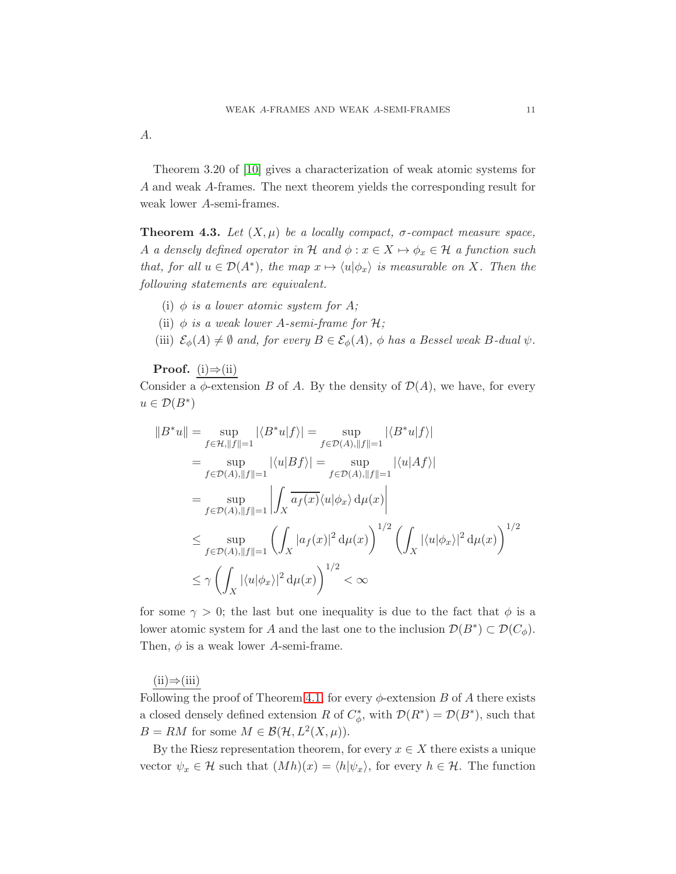A.

Theorem 3.20 of [\[10\]](#page-20-0) gives a characterization of weak atomic systems for A and weak A-frames. The next theorem yields the corresponding result for weak lower A-semi-frames.

<span id="page-10-0"></span>**Theorem 4.3.** *Let*  $(X, \mu)$  *be a locally compact,*  $\sigma$ *-compact measure space,* A *a densely defined operator in* H *and*  $\phi$  :  $x \in X \mapsto \phi_x \in H$  *a function such that, for all*  $u \in \mathcal{D}(A^*)$ *, the map*  $x \mapsto \langle u | \phi_x \rangle$  *is measurable on* X*. Then the following statements are equivalent.*

- (i)  $\phi$  *is a lower atomic system for* A;
- (ii)  $\phi$  *is a weak lower A-semi-frame for*  $\mathcal{H}$ *;*
- (iii)  $\mathcal{E}_{\phi}(A) \neq \emptyset$  *and, for every*  $B \in \mathcal{E}_{\phi}(A)$ *,*  $\phi$  *has a Bessel weak* B-dual  $\psi$ *.*

**Proof.** (i) $\Rightarrow$ (ii)

Consider a  $\phi$ -extension B of A. By the density of  $\mathcal{D}(A)$ , we have, for every  $u \in \mathcal{D}(B^*)$ 

$$
||B^*u|| = \sup_{f \in \mathcal{H}, ||f||=1} |\langle B^*u|f \rangle| = \sup_{f \in \mathcal{D}(A), ||f||=1} |\langle B^*u|f \rangle|
$$
  
\n
$$
= \sup_{f \in \mathcal{D}(A), ||f||=1} |\langle u|Bf \rangle| = \sup_{f \in \mathcal{D}(A), ||f||=1} |\langle u|Af \rangle|
$$
  
\n
$$
= \sup_{f \in \mathcal{D}(A), ||f||=1} \left| \int_X \overline{a_f(x)} \langle u|\phi_x \rangle d\mu(x) \right|
$$
  
\n
$$
\leq \sup_{f \in \mathcal{D}(A), ||f||=1} \left( \int_X |a_f(x)|^2 d\mu(x) \right)^{1/2} \left( \int_X |\langle u|\phi_x \rangle|^2 d\mu(x) \right)^{1/2}
$$
  
\n
$$
\leq \gamma \left( \int_X |\langle u|\phi_x \rangle|^2 d\mu(x) \right)^{1/2} < \infty
$$

for some  $\gamma > 0$ ; the last but one inequality is due to the fact that  $\phi$  is a lower atomic system for A and the last one to the inclusion  $\mathcal{D}(B^*) \subset \mathcal{D}(C_\phi)$ . Then,  $\phi$  is a weak lower A-semi-frame.

 $(ii) \Rightarrow (iii)$ 

Following the proof of Theorem [4.1,](#page-8-2) for every  $\phi$ -extension B of A there exists a closed densely defined extension R of  $C^*_{\phi}$ , with  $\mathcal{D}(R^*) = \mathcal{D}(B^*)$ , such that  $B = RM$  for some  $M \in \mathcal{B}(\mathcal{H}, L^2(X, \mu)).$ 

By the Riesz representation theorem, for every  $x \in X$  there exists a unique vector  $\psi_x \in \mathcal{H}$  such that  $(Mh)(x) = \langle h | \psi_x \rangle$ , for every  $h \in \mathcal{H}$ . The function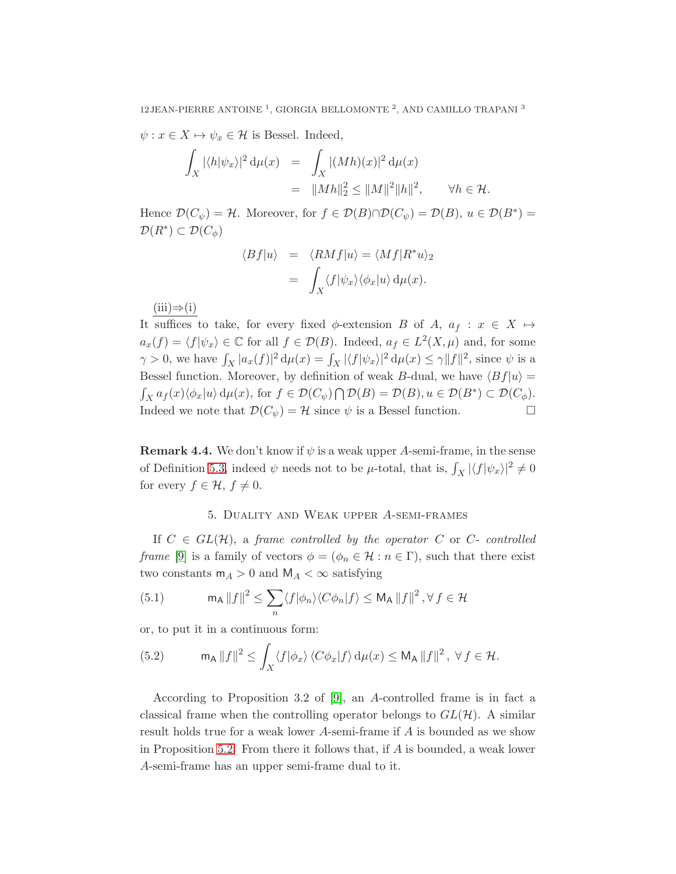$\psi: x \in X \mapsto \psi_x \in \mathcal{H}$  is Bessel. Indeed,

$$
\int_X |\langle h | \psi_x \rangle|^2 d\mu(x) = \int_X |(Mh)(x)|^2 d\mu(x)
$$
  
=  $||Mh||_2^2 \le ||M||^2 ||h||^2$ ,  $\forall h \in \mathcal{H}$ .

Hence  $\mathcal{D}(C_{\psi}) = \mathcal{H}$ . Moreover, for  $f \in \mathcal{D}(B) \cap \mathcal{D}(C_{\psi}) = \mathcal{D}(B)$ ,  $u \in \mathcal{D}(B^*) =$  $\mathcal{D}(R^*)\subset \mathcal{D}(C_\phi)$ 

$$
\langle Bf|u\rangle = \langle RMf|u\rangle = \langle Mf|R^*u\rangle_2
$$

$$
= \int_X \langle f|\psi_x\rangle \langle \phi_x|u\rangle d\mu(x).
$$

 $(iii) \Rightarrow (i)$ 

It suffices to take, for every fixed  $\phi$ -extension B of A,  $a_f : x \in X \mapsto$  $a_x(f) = \langle f | \psi_x \rangle \in \mathbb{C}$  for all  $f \in \mathcal{D}(B)$ . Indeed,  $a_f \in L^2(X, \mu)$  and, for some  $\gamma > 0$ , we have  $\int_X |a_x(f)|^2 d\mu(x) = \int_X |\langle f | \psi_x \rangle|^2 d\mu(x) \leq \gamma ||f||^2$ , since  $\psi$  is a Bessel function. Moreover, by definition of weak B-dual, we have  $\langle Bf|u \rangle =$  $\int_X a_f(x) \langle \phi_x | u \rangle \, d\mu(x)$ , for  $f \in \mathcal{D}(C_\psi) \cap \mathcal{D}(B) = \mathcal{D}(B)$ ,  $u \in \mathcal{D}(B^*) \subset \mathcal{D}(C_\phi)$ . Indeed we note that  $\mathcal{D}(C_{\psi}) = \mathcal{H}$  since  $\psi$  is a Bessel function.

**Remark 4.4.** We don't know if  $\psi$  is a weak upper A-semi-frame, in the sense of Definition [5.3,](#page-12-2) indeed  $\psi$  needs not to be  $\mu$ -total, that is,  $\int_X |\langle f | \psi_x \rangle|^2 \neq 0$ for every  $f \in \mathcal{H}$ ,  $f \neq 0$ .

## 5. Duality and Weak upper A-semi-frames

If  $C \in GL(H)$ , a *frame controlled by the operator* C or C- *controlled frame* [\[9\]](#page-20-10) is a family of vectors  $\phi = (\phi_n \in \mathcal{H} : n \in \Gamma)$ , such that there exist two constants  $m_A > 0$  and  $M_A < \infty$  satisfying

<span id="page-11-0"></span>(5.1) 
$$
\mathsf{m}_{\mathsf{A}} \left\| f \right\|^2 \leq \sum_{n} \langle f | \phi_n \rangle \langle C \phi_n | f \rangle \leq \mathsf{M}_{\mathsf{A}} \left\| f \right\|^2, \forall f \in \mathcal{H}
$$

or, to put it in a continuous form:

<span id="page-11-1"></span>(5.2) 
$$
\mathsf{m}_{\mathsf{A}} \, \|f\|^2 \leq \int_X \langle f | \phi_x \rangle \, \langle C \phi_x | f \rangle \, \mathrm{d} \mu(x) \leq \mathsf{M}_{\mathsf{A}} \, \|f\|^2 \, , \ \forall \, f \in \mathcal{H}.
$$

According to Proposition 3.2 of [\[9\]](#page-20-10), an A-controlled frame is in fact a classical frame when the controlling operator belongs to  $GL(\mathcal{H})$ . A similar result holds true for a weak lower A-semi-frame if A is bounded as we show in Proposition [5.2.](#page-12-0) From there it follows that, if  $A$  is bounded, a weak lower A-semi-frame has an upper semi-frame dual to it.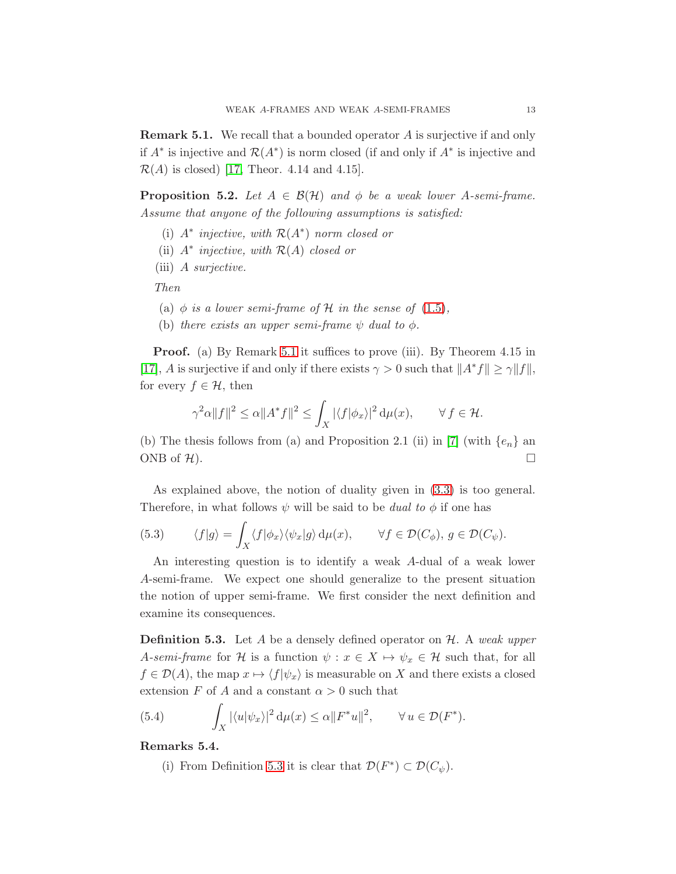<span id="page-12-3"></span>Remark 5.1. We recall that a bounded operator A is surjective if and only if  $A^*$  is injective and  $\mathcal{R}(A^*)$  is norm closed (if and only if  $A^*$  is injective and  $\mathcal{R}(A)$  is closed) [17, Theor. 4.14 and 4.15].

<span id="page-12-0"></span>**Proposition 5.2.** *Let*  $A \in \mathcal{B}(\mathcal{H})$  *and*  $\phi$  *be a weak lower* A-semi-frame. *Assume that anyone of the following assumptions is satisfied:*

- (i) A<sup>∗</sup> *injective, with* <sup>R</sup>(A<sup>∗</sup> ) *norm closed or*
- (ii) A<sup>∗</sup> *injective, with* R(A) *closed or*
- (iii) A *surjective.*

*Then*

- (a)  $\phi$  *is a lower semi-frame of*  $\mathcal H$  *in the sense of* [\(1.5\)](#page-2-0),
- (b) *there exists an upper semi-frame*  $\psi$  *dual to*  $\phi$ *.*

**Proof.** (a) By Remark [5.1](#page-12-3) it suffices to prove (iii). By Theorem 4.15 in [17], A is surjective if and only if there exists  $\gamma > 0$  such that  $||A^*f|| \ge \gamma ||f||$ , for every  $f \in \mathcal{H}$ , then

$$
\gamma^2 \alpha \|f\|^2 \le \alpha \|A^* f\|^2 \le \int_X |\langle f|\phi_x\rangle|^2 \, \mathrm{d}\mu(x), \qquad \forall \, f \in \mathcal{H}.
$$

(b) The thesis follows from (a) and Proposition 2.1 (ii) in [\[7\]](#page-20-11) (with  $\{e_n\}$  an ONB of  $\mathcal{H}$ ).

As explained above, the notion of duality given in [\(3.3\)](#page-7-1) is too general. Therefore, in what follows  $\psi$  will be said to be *dual to*  $\phi$  if one has

<span id="page-12-1"></span>(5.3) 
$$
\langle f|g\rangle = \int_X \langle f|\phi_x\rangle \langle \psi_x|g\rangle d\mu(x), \qquad \forall f \in \mathcal{D}(C_{\phi}), g \in \mathcal{D}(C_{\psi}).
$$

An interesting question is to identify a weak A-dual of a weak lower A-semi-frame. We expect one should generalize to the present situation the notion of upper semi-frame. We first consider the next definition and examine its consequences.

<span id="page-12-2"></span>Definition 5.3. Let A be a densely defined operator on H. A *weak upper* A-semi-frame for H is a function  $\psi : x \in X \mapsto \psi_x \in \mathcal{H}$  such that, for all  $f \in \mathcal{D}(A)$ , the map  $x \mapsto \langle f|\psi_x\rangle$  is measurable on X and there exists a closed extension F of A and a constant  $\alpha > 0$  such that

<span id="page-12-4"></span>(5.4) 
$$
\int_X |\langle u|\psi_x\rangle|^2 d\mu(x) \leq \alpha ||F^*u||^2, \qquad \forall u \in \mathcal{D}(F^*).
$$

Remarks 5.4.

(i) From Definition [5.3](#page-12-2) it is clear that  $\mathcal{D}(F^*) \subset \mathcal{D}(C_{\psi})$ .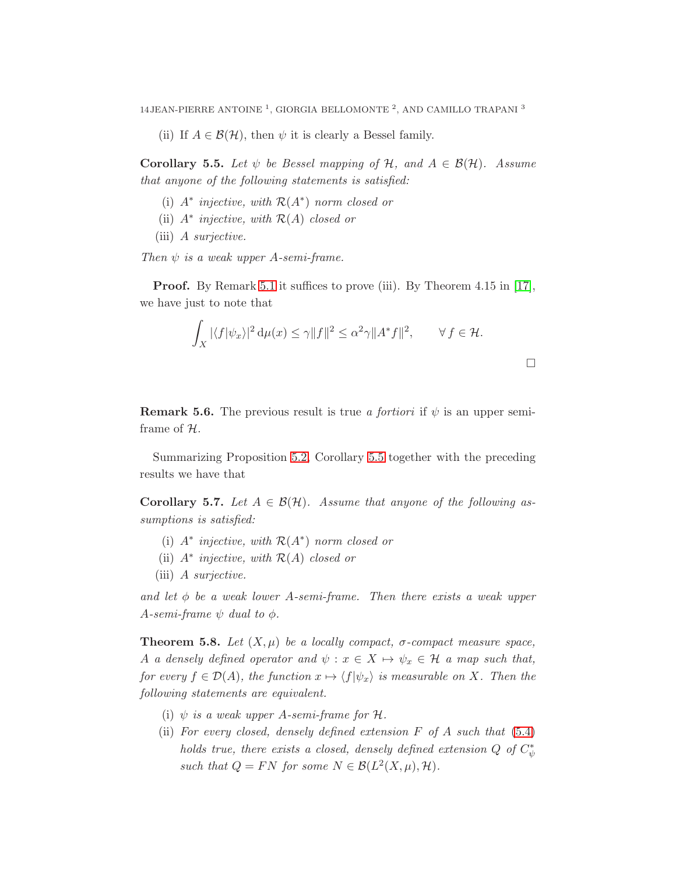(ii) If  $A \in \mathcal{B}(\mathcal{H})$ , then  $\psi$  it is clearly a Bessel family.

<span id="page-13-0"></span>**Corollary 5.5.** *Let*  $\psi$  *be Bessel mapping of*  $\mathcal{H}$ *, and*  $A \in \mathcal{B}(\mathcal{H})$ *. Assume that anyone of the following statements is satisfied:*

- (i) A<sup>∗</sup> *injective, with* <sup>R</sup>(A<sup>∗</sup> ) *norm closed or*
- (ii) A<sup>∗</sup> *injective, with* R(A) *closed or*
- (iii) A *surjective.*

*Then*  $\psi$  *is a weak upper A-semi-frame.* 

**Proof.** By Remark [5.1](#page-12-3) it suffices to prove (iii). By Theorem 4.15 in [17], we have just to note that

$$
\int_X |\langle f | \psi_x \rangle|^2 d\mu(x) \le \gamma \|f\|^2 \le \alpha^2 \gamma \|A^* f\|^2, \qquad \forall f \in \mathcal{H}.
$$

**Remark 5.6.** The previous result is true *a fortiori* if  $\psi$  is an upper semiframe of H.

Summarizing Proposition [5.2,](#page-12-0) Corollary [5.5](#page-13-0) together with the preceding results we have that

**Corollary 5.7.** *Let*  $A \in \mathcal{B}(\mathcal{H})$ *. Assume that anyone of the following assumptions is satisfied:*

- (i) A<sup>∗</sup> *injective, with* <sup>R</sup>(A<sup>∗</sup> ) *norm closed or*
- (ii) A<sup>∗</sup> *injective, with* R(A) *closed or*
- (iii) A *surjective.*

*and let*  $\phi$  *be a weak lower A-semi-frame. Then there exists a weak upper*  $A$ -semi-frame  $\psi$  dual to  $\phi$ .

**Theorem 5.8.** Let  $(X, \mu)$  be a locally compact,  $\sigma$ -compact measure space, A *a densely defined operator and*  $\psi : x \in X \mapsto \psi_x \in \mathcal{H}$  *a map such that, for every*  $f \in \mathcal{D}(A)$ *, the function*  $x \mapsto \langle f | \psi_x \rangle$  *is measurable on* X*. Then the following statements are equivalent.*

- (i)  $\psi$  *is a weak upper A-semi-frame for*  $\mathcal{H}$ *.*
- (ii) *For every closed, densely defined extension* F *of* A *such that* [\(5.4\)](#page-12-4) *holds true, there exists a closed, densely defined extension*  $Q$  of  $C^*_{\psi}$ such that  $Q = FN$  for some  $N \in \mathcal{B}(L^2(X, \mu), \mathcal{H})$ .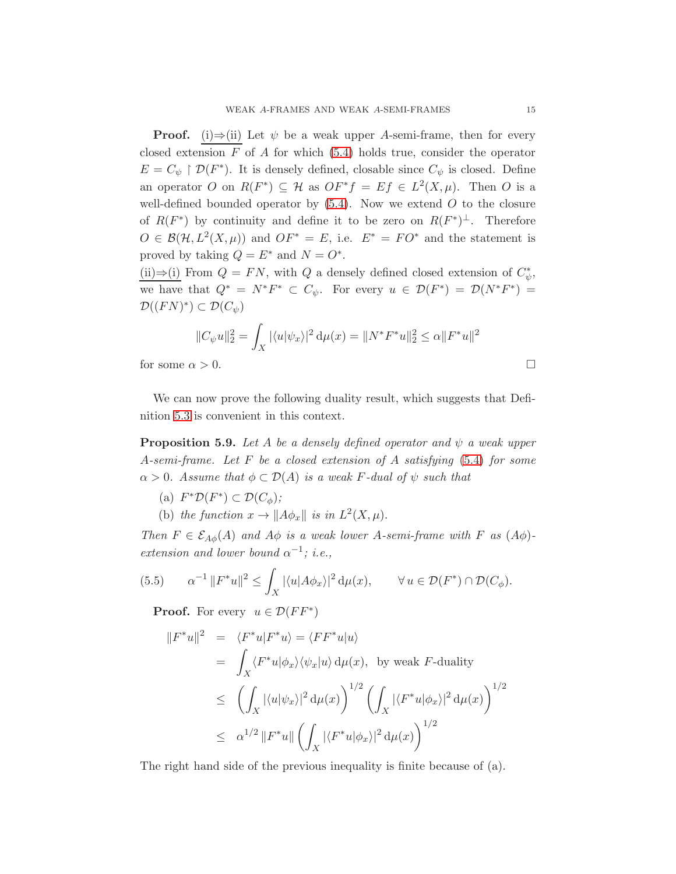**Proof.** (i)⇒(ii) Let  $\psi$  be a weak upper A-semi-frame, then for every closed extension  $F$  of  $A$  for which [\(5.4\)](#page-12-4) holds true, consider the operator  $E=C_\psi\restriction {\mathcal D}(F^*).$  It is densely defined, closable since  $C_\psi$  is closed. Define an operator O on  $R(F^*) \subseteq \mathcal{H}$  as  $OF^*f = Ef \in L^2(X, \mu)$ . Then O is a well-defined bounded operator by  $(5.4)$ . Now we extend O to the closure of  $R(F^*)$  by continuity and define it to be zero on  $R(F^*)^{\perp}$ . Therefore  $O \in \mathcal{B}(\mathcal{H}, L^2(X, \mu))$  and  $OF^* = E$ , i.e.  $E^* = FO^*$  and the statement is proved by taking  $Q = E^*$  and  $N = O^*$ .

(ii)⇒(i) From  $Q = FN$ , with Q a densely defined closed extension of  $C^*_{\psi}$ , we have that  $Q^* = N^*F^* \subset C_{\psi}$ . For every  $u \in \mathcal{D}(F^*) = \mathcal{D}(N^*F^*) =$  $\mathcal{D}((FN)^*) \subset \mathcal{D}(C_{\psi})$ 

$$
||C_{\psi}u||_2^2 = \int_X |\langle u|\psi_x\rangle|^2 d\mu(x) = ||N^*F^*u||_2^2 \le \alpha ||F^*u||^2
$$
  
for some  $\alpha > 0$ .

We can now prove the following duality result, which suggests that Definition [5.3](#page-12-2) is convenient in this context.

**Proposition 5.9.** Let A be a densely defined operator and  $\psi$  a weak upper A*-semi-frame. Let* F *be a closed extension of* A *satisfying* [\(5.4\)](#page-12-4) *for some*  $\alpha > 0$ *. Assume that*  $\phi \subset \mathcal{D}(A)$  *is a weak F-dual of*  $\psi$  *such that* 

- (a)  $F^*\mathcal{D}(F^*) \subset \mathcal{D}(C_\phi)$ ;
- (b) the function  $x \to \|A\phi_x\|$  is in  $L^2(X, \mu)$ .

*Then*  $F \in \mathcal{E}_{A\phi}(A)$  *and*  $A\phi$  *is a weak lower*  $A$ -semi-frame with  $F$  *as*  $(A\phi)$ *extension and lower bound*  $\alpha^{-1}$ ; *i.e.*,

(5.5) 
$$
\alpha^{-1} ||F^*u||^2 \le \int_X |\langle u|A\phi_x\rangle|^2 d\mu(x), \qquad \forall u \in \mathcal{D}(F^*) \cap \mathcal{D}(C_\phi).
$$

<span id="page-14-0"></span>**Proof.** For every  $u \in \mathcal{D}(FF^*)$ 

$$
||F^*u||^2 = \langle F^*u|F^*u \rangle = \langle FF^*u|u \rangle
$$
  
\n
$$
= \int_X \langle F^*u|\phi_x\rangle \langle \psi_x|u \rangle d\mu(x), \text{ by weak } F\text{-duality}
$$
  
\n
$$
\leq \left(\int_X |\langle u|\psi_x\rangle|^2 d\mu(x)\right)^{1/2} \left(\int_X |\langle F^*u|\phi_x\rangle|^2 d\mu(x)\right)^{1/2}
$$
  
\n
$$
\leq \alpha^{1/2} ||F^*u|| \left(\int_X |\langle F^*u|\phi_x\rangle|^2 d\mu(x)\right)^{1/2}
$$

The right hand side of the previous inequality is finite because of (a).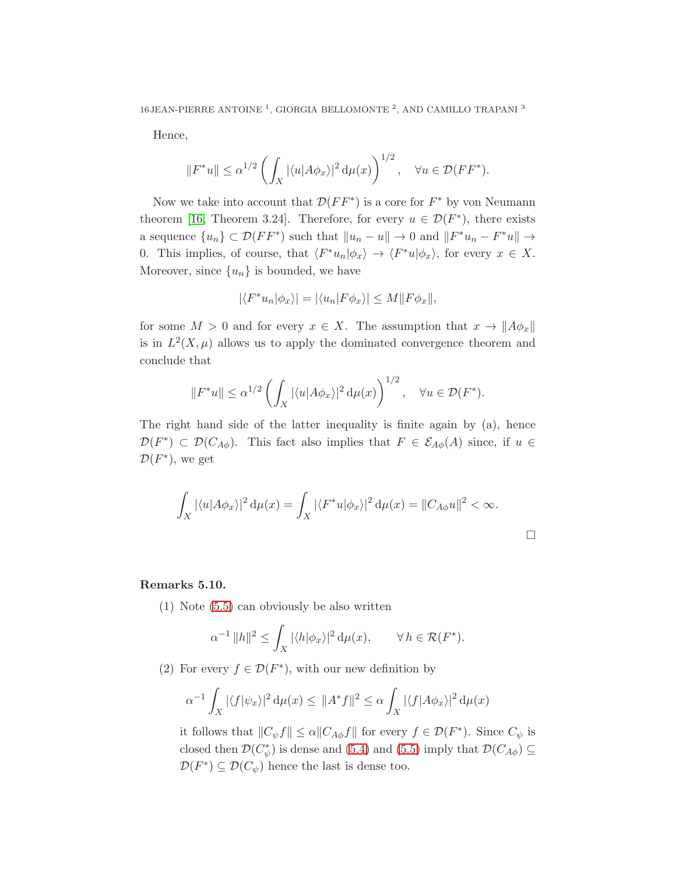Hence,

$$
||F^*u|| \leq \alpha^{1/2} \left( \int_X |\langle u| A \phi_x \rangle|^2 d\mu(x) \right)^{1/2}, \quad \forall u \in \mathcal{D}(FF^*).
$$

Now we take into account that  $\mathcal{D}(FF^*)$  is a core for  $F^*$  by von Neumann theorem [\[16,](#page-20-1) Theorem 3.24]. Therefore, for every  $u \in \mathcal{D}(F^*)$ , there exists a sequence  ${u_n} \subset \mathcal{D}(FF^*)$  such that  $||u_n - u|| \to 0$  and  $||F^*u_n - F^*u|| \to$ 0. This implies, of course, that  $\langle F^*u_n|\phi_x\rangle \to \langle F^*u|\phi_x\rangle$ , for every  $x \in X$ . Moreover, since  $\{u_n\}$  is bounded, we have

$$
|\langle F^*u_n|\phi_x\rangle|=|\langle u_n|F\phi_x\rangle|\leq M||F\phi_x||,
$$

for some  $M > 0$  and for every  $x \in X$ . The assumption that  $x \to ||A\phi_x||$ is in  $L^2(X,\mu)$  allows us to apply the dominated convergence theorem and conclude that

$$
||F^*u|| \le \alpha^{1/2} \left( \int_X |\langle u| A \phi_x \rangle|^2 d\mu(x) \right)^{1/2}, \quad \forall u \in \mathcal{D}(F^*).
$$

The right hand side of the latter inequality is finite again by (a), hence  $\mathcal{D}(F^*)\subset \mathcal{D}(C_{A\phi})$ . This fact also implies that  $F\in \mathcal{E}_{A\phi}(A)$  since, if  $u \in$  $\mathcal{D}(F^*)$ , we get

$$
\int_X |\langle u| A \phi_x \rangle|^2 d\mu(x) = \int_X |\langle F^* u| \phi_x \rangle|^2 d\mu(x) = ||C_{A\phi} u||^2 < \infty.
$$

 $\Box$ 

# Remarks 5.10.

(1) Note [\(5.5\)](#page-14-0) can obviously be also written

$$
\alpha^{-1} \|h\|^2 \le \int_X |\langle h|\phi_x\rangle|^2 \, \mathrm{d}\mu(x), \qquad \forall \, h \in \mathcal{R}(F^*).
$$

(2) For every  $f \in \mathcal{D}(F^*)$ , with our new definition by

$$
\alpha^{-1} \int_X |\langle f | \psi_x \rangle|^2 d\mu(x) \leq ||A^* f||^2 \leq \alpha \int_X |\langle f | A \phi_x \rangle|^2 d\mu(x)
$$

it follows that  $||C_{\psi}f|| \leq \alpha ||C_{A\phi}f||$  for every  $f \in \mathcal{D}(F^*)$ . Since  $C_{\psi}$  is closed then  $\mathcal{D}(C^*_\psi)$  is dense and [\(5.4\)](#page-12-4) and [\(5.5\)](#page-14-0) imply that  $\mathcal{D}(C_{A\phi}) \subseteq$  $\mathcal{D}(F^*) \subseteq \mathcal{D}(C_{\psi})$  hence the last is dense too.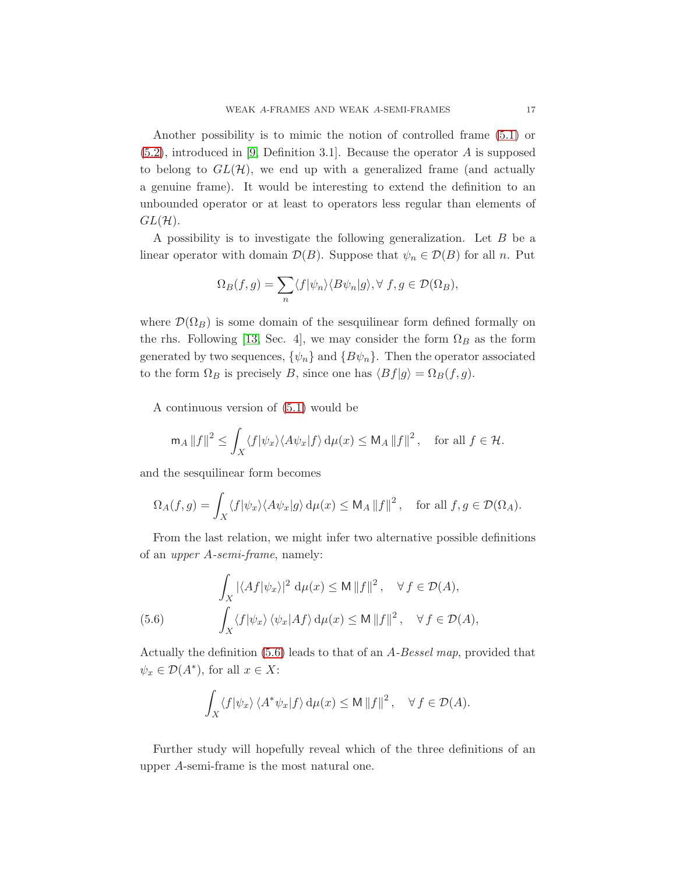Another possibility is to mimic the notion of controlled frame [\(5.1\)](#page-11-0) or [\(5.2\)](#page-11-1), introduced in [\[9,](#page-20-10) Definition 3.1]. Because the operator A is supposed to belong to  $GL(\mathcal{H})$ , we end up with a generalized frame (and actually a genuine frame). It would be interesting to extend the definition to an unbounded operator or at least to operators less regular than elements of  $GL(\mathcal{H})$ .

A possibility is to investigate the following generalization. Let B be a linear operator with domain  $\mathcal{D}(B)$ . Suppose that  $\psi_n \in \mathcal{D}(B)$  for all n. Put

$$
\Omega_B(f,g) = \sum_n \langle f | \psi_n \rangle \langle B\psi_n | g \rangle, \forall f, g \in \mathcal{D}(\Omega_B),
$$

where  $\mathcal{D}(\Omega_B)$  is some domain of the sesquilinear form defined formally on the rhs. Following [\[13,](#page-20-4) Sec. 4], we may consider the form  $\Omega_B$  as the form generated by two sequences,  $\{\psi_n\}$  and  $\{B\psi_n\}$ . Then the operator associated to the form  $\Omega_B$  is precisely B, since one has  $\langle Bf|g \rangle = \Omega_B(f, g)$ .

A continuous version of [\(5.1\)](#page-11-0) would be

$$
\mathsf{m}_A \|f\|^2 \le \int_X \langle f | \psi_x \rangle \langle A \psi_x | f \rangle \, \mathrm{d}\mu(x) \le \mathsf{M}_A \|f\|^2 \,, \quad \text{for all } f \in \mathcal{H}.
$$

and the sesquilinear form becomes

$$
\Omega_A(f,g) = \int_X \langle f | \psi_x \rangle \langle A \psi_x | g \rangle \, d\mu(x) \leq \mathsf{M}_A \| f \|^2 \,, \quad \text{for all } f, g \in \mathcal{D}(\Omega_A).
$$

From the last relation, we might infer two alternative possible definitions of an *upper* A*-semi-frame*, namely:

<span id="page-16-0"></span>(5.6) 
$$
\int_X |\langle Af | \psi_x \rangle|^2 d\mu(x) \le M \|f\|^2, \quad \forall f \in \mathcal{D}(A),
$$

$$
\int_X \langle f | \psi_x \rangle \langle \psi_x | Af \rangle d\mu(x) \le M \|f\|^2, \quad \forall f \in \mathcal{D}(A),
$$

Actually the definition [\(5.6\)](#page-16-0) leads to that of an A*-Bessel map*, provided that  $\psi_x \in \mathcal{D}(A^*),$  for all  $x \in X$ :

$$
\int_X \langle f | \psi_x \rangle \langle A^* \psi_x | f \rangle \, \mathrm{d}\mu(x) \le \mathsf{M} \, \|f\|^2 \,, \quad \forall \, f \in \mathcal{D}(A).
$$

Further study will hopefully reveal which of the three definitions of an upper A-semi-frame is the most natural one.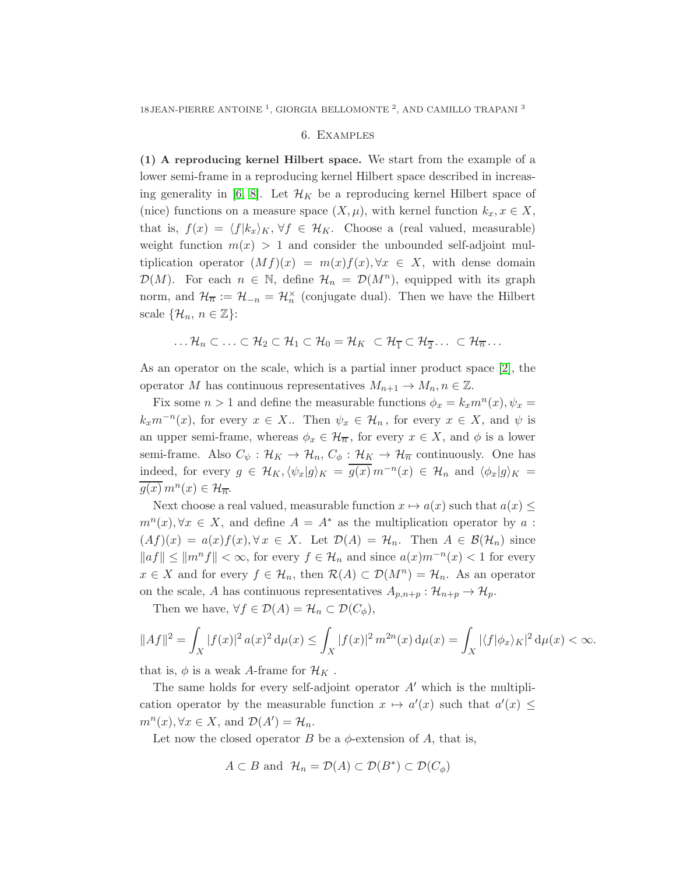#### 6. Examples

<span id="page-17-0"></span>(1) A reproducing kernel Hilbert space. We start from the example of a lower semi-frame in a reproducing kernel Hilbert space described in increas-ing generality in [\[6,](#page-20-12) [8\]](#page-20-3). Let  $\mathcal{H}_K$  be a reproducing kernel Hilbert space of (nice) functions on a measure space  $(X, \mu)$ , with kernel function  $k_x, x \in X$ , that is,  $f(x) = \langle f|k_x\rangle_K$ ,  $\forall f \in \mathcal{H}_K$ . Choose a (real valued, measurable) weight function  $m(x) > 1$  and consider the unbounded self-adjoint multiplication operator  $(Mf)(x) = m(x)f(x), \forall x \in X$ , with dense domain  $\mathcal{D}(M)$ . For each  $n \in \mathbb{N}$ , define  $\mathcal{H}_n = \mathcal{D}(M^n)$ , equipped with its graph norm, and  $\mathcal{H}_{\overline{n}} := \mathcal{H}_{-n} = \mathcal{H}_{n}^{\times}$  (conjugate dual). Then we have the Hilbert scale  $\{\mathcal{H}_n, n \in \mathbb{Z}\}$ :

$$
\dots \mathcal{H}_n \subset \dots \subset \mathcal{H}_2 \subset \mathcal{H}_1 \subset \mathcal{H}_0 = \mathcal{H}_K \subset \mathcal{H}_{\overline{1}} \subset \mathcal{H}_{\overline{2}} \dots \subset \mathcal{H}_{\overline{n}} \dots
$$

As an operator on the scale, which is a partial inner product space [\[2\]](#page-19-3), the operator M has continuous representatives  $M_{n+1} \to M_n, n \in \mathbb{Z}$ .

Fix some  $n > 1$  and define the measurable functions  $\phi_x = k_x m^n(x)$ ,  $\psi_x =$  $k_x m^{-n}(x)$ , for every  $x \in X$ .. Then  $\psi_x \in \mathcal{H}_n$ , for every  $x \in X$ , and  $\psi$  is an upper semi-frame, whereas  $\phi_x \in \mathcal{H}_{\overline{n}}$ , for every  $x \in X$ , and  $\phi$  is a lower semi-frame. Also  $C_{\psi}: \mathcal{H}_K \to \mathcal{H}_n$ ,  $C_{\phi}: \mathcal{H}_K \to \mathcal{H}_{\overline{n}}$  continuously. One has indeed, for every  $g \in \mathcal{H}_K$ ,  $\langle \psi_x | g \rangle_K = \overline{g(x)} \, m^{-n}(x) \in \mathcal{H}_n$  and  $\langle \phi_x | g \rangle_K =$  $\overline{g(x)}$   $m^{n}(x) \in \mathcal{H}_{\overline{n}}$ .

Next choose a real valued, measurable function  $x \mapsto a(x)$  such that  $a(x) \leq$  $m^{n}(x), \forall x \in X$ , and define  $A = A^*$  as the multiplication operator by a:  $(Af)(x) = a(x)f(x), \forall x \in X$ . Let  $\mathcal{D}(A) = \mathcal{H}_n$ . Then  $A \in \mathcal{B}(\mathcal{H}_n)$  since  $||af|| ≤ ||m<sup>n</sup>f|| < \infty$ , for every  $f ∈ H_n$  and since  $a(x)m<sup>-n</sup>(x) < 1$  for every  $x \in X$  and for every  $f \in \mathcal{H}_n$ , then  $\mathcal{R}(A) \subset \mathcal{D}(M^n) = \mathcal{H}_n$ . As an operator on the scale, A has continuous representatives  $A_{p,n+p}$ :  $\mathcal{H}_{n+p} \to \mathcal{H}_p$ .

Then we have,  $\forall f \in \mathcal{D}(A) = \mathcal{H}_n \subset \mathcal{D}(C_{\phi}),$ 

$$
||Af||2 = \int_X |f(x)|2 a(x)2 d\mu(x) \le \int_X |f(x)|2 m2n(x) d\mu(x) = \int_X |\langle f|\phi_x\rangle_K|2 d\mu(x) < \infty.
$$

that is,  $\phi$  is a weak A-frame for  $\mathcal{H}_K$ .

The same holds for every self-adjoint operator  $A'$  which is the multiplication operator by the measurable function  $x \mapsto a'(x)$  such that  $a'(x) \leq$  $m^{n}(x), \forall x \in X$ , and  $\mathcal{D}(A') = \mathcal{H}_{n}$ .

Let now the closed operator B be a  $\phi$ -extension of A, that is,

$$
A \subset B \text{ and } \mathcal{H}_n = \mathcal{D}(A) \subset \mathcal{D}(B^*) \subset \mathcal{D}(C_{\phi})
$$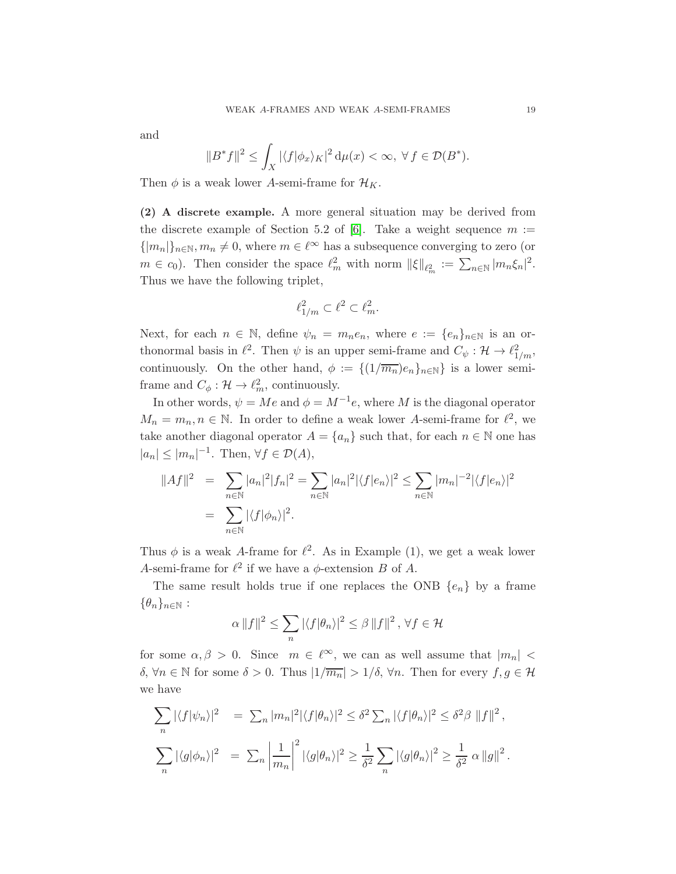and

$$
||B^*f||^2 \le \int_X |\langle f|\phi_x\rangle_K|^2 \, \mathrm{d}\mu(x) < \infty, \ \forall \, f \in \mathcal{D}(B^*).
$$

Then  $\phi$  is a weak lower A-semi-frame for  $\mathcal{H}_K$ .

(2) A discrete example. A more general situation may be derived from the discrete example of Section 5.2 of [\[6\]](#page-20-12). Take a weight sequence  $m :=$  $\{|m_n|\}_{n\in\mathbb{N}}, m_n \neq 0$ , where  $m \in \ell^{\infty}$  has a subsequence converging to zero (or  $m \in c_0$ ). Then consider the space  $\ell_m^2$  with norm  $\|\xi\|_{\ell_m^2} := \sum_{n \in \mathbb{N}} |m_n \xi_n|^2$ . Thus we have the following triplet,

$$
\ell_{1/m}^2 \subset \ell^2 \subset \ell_m^2.
$$

Next, for each  $n \in \mathbb{N}$ , define  $\psi_n = m_n e_n$ , where  $e := \{e_n\}_{n \in \mathbb{N}}$  is an orthonormal basis in  $\ell^2$ . Then  $\psi$  is an upper semi-frame and  $C_{\psi}: \mathcal{H} \to \ell^2_{1/m}$ , continuously. On the other hand,  $\phi := \{(1/\overline{m_n})e_n\}_{n\in\mathbb{N}}\}$  is a lower semiframe and  $C_{\phi}: \mathcal{H} \to \ell_m^2$ , continuously.

In other words,  $\psi = Me$  and  $\phi = M^{-1}e$ , where M is the diagonal operator  $M_n = m_n, n \in \mathbb{N}$ . In order to define a weak lower A-semi-frame for  $\ell^2$ , we take another diagonal operator  $A = \{a_n\}$  such that, for each  $n \in \mathbb{N}$  one has  $|a_n| \le |m_n|^{-1}$ . Then,  $\forall f \in \mathcal{D}(A)$ ,

$$
||Af||2 = \sum_{n \in \mathbb{N}} |a_n|^2 |f_n|^2 = \sum_{n \in \mathbb{N}} |a_n|^2 |\langle f|e_n \rangle|^2 \le \sum_{n \in \mathbb{N}} |m_n|^{-2} |\langle f|e_n \rangle|^2
$$
  
=  $\sum_{n \in \mathbb{N}} |\langle f|\phi_n \rangle|^2$ .

Thus  $\phi$  is a weak A-frame for  $\ell^2$ . As in Example (1), we get a weak lower A-semi-frame for  $\ell^2$  if we have a  $\phi$ -extension B of A.

The same result holds true if one replaces the ONB  $\{e_n\}$  by a frame  $\{\theta_n\}_{n\in\mathbb{N}}$ :

$$
\alpha \|f\|^2 \le \sum_n |\langle f|\theta_n\rangle|^2 \le \beta \|f\|^2, \,\forall f \in \mathcal{H}
$$

for some  $\alpha, \beta > 0$ . Since  $m \in \ell^{\infty}$ , we can as well assume that  $|m_n| <$ δ, ∀n ∈ N for some δ > 0. Thus  $|1/\overline{m_n}|$  >  $1/\delta$ , ∀n. Then for every  $f, g \in \mathcal{H}$ we have

$$
\sum_{n} |\langle f|\psi_n\rangle|^2 = \sum_{n} |m_n|^2 |\langle f|\theta_n\rangle|^2 \le \delta^2 \sum_{n} |\langle f|\theta_n\rangle|^2 \le \delta^2 \beta \|f\|^2,
$$
  

$$
\sum_{n} |\langle g|\phi_n\rangle|^2 = \sum_{n} \left|\frac{1}{m_n}\right|^2 |\langle g|\theta_n\rangle|^2 \ge \frac{1}{\delta^2} \sum_{n} |\langle g|\theta_n\rangle|^2 \ge \frac{1}{\delta^2} \alpha \|g\|^2.
$$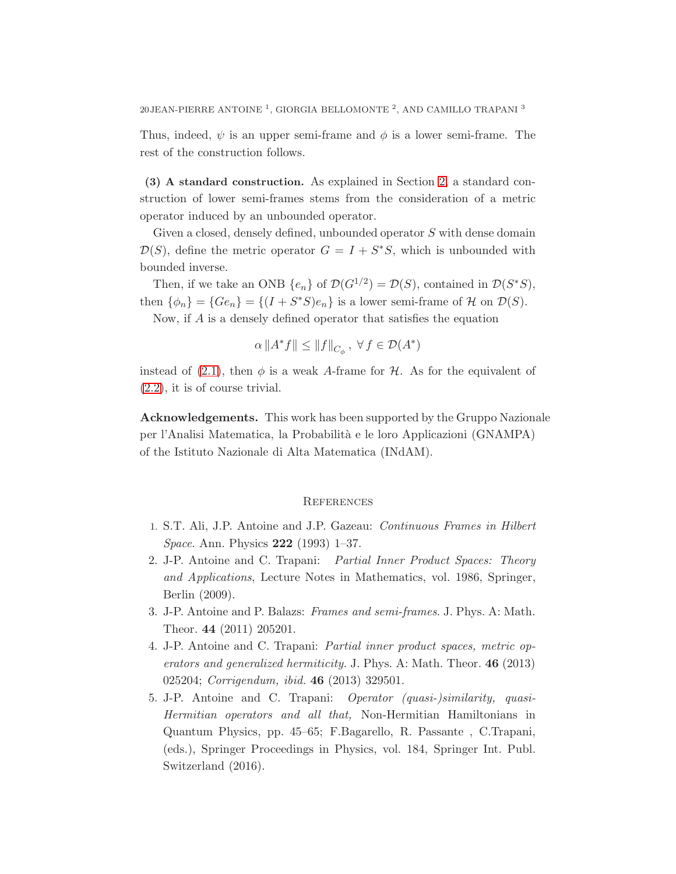Thus, indeed,  $\psi$  is an upper semi-frame and  $\phi$  is a lower semi-frame. The rest of the construction follows.

(3) A standard construction. As explained in Section [2,](#page-2-1) a standard construction of lower semi-frames stems from the consideration of a metric operator induced by an unbounded operator.

Given a closed, densely defined, unbounded operator S with dense domain  $\mathcal{D}(S)$ , define the metric operator  $G = I + S^*S$ , which is unbounded with bounded inverse.

Then, if we take an ONB  $\{e_n\}$  of  $\mathcal{D}(G^{1/2}) = \mathcal{D}(S)$ , contained in  $\mathcal{D}(S^*S)$ , then  $\{\phi_n\} = \{Ge_n\} = \{(I + S^*S)e_n\}$  is a lower semi-frame of  $\mathcal H$  on  $\mathcal D(S)$ .

Now, if A is a densely defined operator that satisfies the equation

$$
\alpha\left\|A^{*}f\right\|\leq\left\|f\right\|_{C_{\phi}},\ \forall\,f\in\mathcal{D}(A^{*})
$$

instead of [\(2.1\)](#page-3-0), then  $\phi$  is a weak A-frame for H. As for the equivalent of [\(2.2\)](#page-3-0), it is of course trivial.

Acknowledgements. This work has been supported by the Gruppo Nazionale per l'Analisi Matematica, la Probabilit`a e le loro Applicazioni (GNAMPA) of the Istituto Nazionale di Alta Matematica (INdAM).

#### **REFERENCES**

- <span id="page-19-3"></span><span id="page-19-1"></span>1. S.T. Ali, J.P. Antoine and J.P. Gazeau: *Continuous Frames in Hilbert Space*. Ann. Physics 222 (1993) 1–37.
- 2. J-P. Antoine and C. Trapani: *Partial Inner Product Spaces: Theory and Applications*, Lecture Notes in Mathematics, vol. 1986, Springer, Berlin (2009).
- <span id="page-19-2"></span><span id="page-19-0"></span>3. J-P. Antoine and P. Balazs: *Frames and semi-frames*. J. Phys. A: Math. Theor. 44 (2011) 205201.
- 4. J-P. Antoine and C. Trapani: *Partial inner product spaces, metric operators and generalized hermiticity.* J. Phys. A: Math. Theor. 46 (2013) 025204; *Corrigendum, ibid.* 46 (2013) 329501.
- <span id="page-19-4"></span>5. J-P. Antoine and C. Trapani: *Operator (quasi-)similarity, quasi-Hermitian operators and all that,* Non-Hermitian Hamiltonians in Quantum Physics, pp. 45–65; F.Bagarello, R. Passante , C.Trapani, (eds.), Springer Proceedings in Physics, vol. 184, Springer Int. Publ. Switzerland (2016).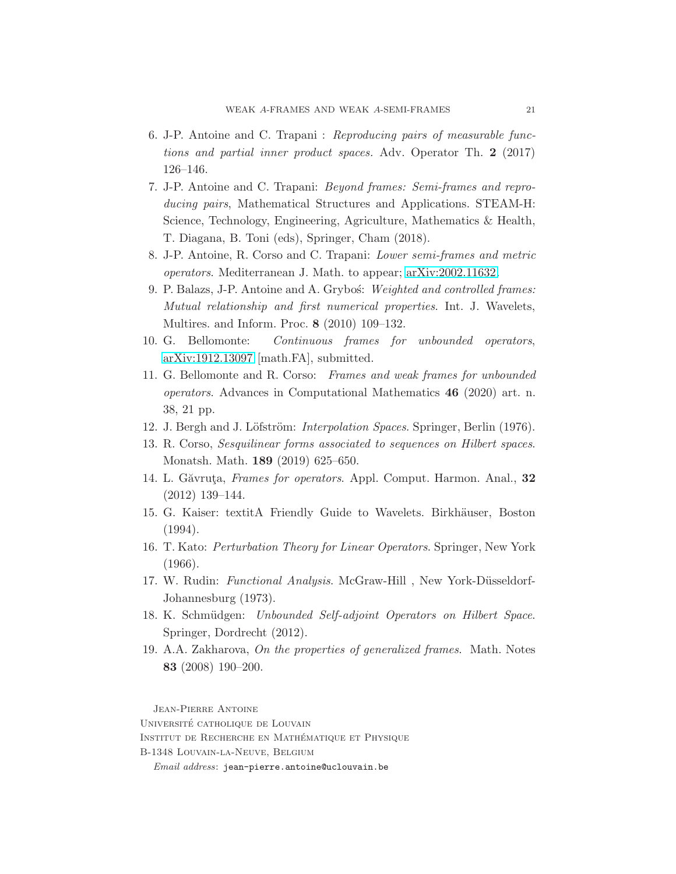- <span id="page-20-12"></span>6. J-P. Antoine and C. Trapani : *Reproducing pairs of measurable functions and partial inner product spaces.* Adv. Operator Th. 2 (2017) 126–146.
- <span id="page-20-11"></span>7. J-P. Antoine and C. Trapani: *Beyond frames: Semi-frames and reproducing pairs*, Mathematical Structures and Applications. STEAM-H: Science, Technology, Engineering, Agriculture, Mathematics & Health, T. Diagana, B. Toni (eds), Springer, Cham (2018).
- <span id="page-20-10"></span><span id="page-20-3"></span>8. J-P. Antoine, R. Corso and C. Trapani: *Lower semi-frames and metric operators*. Mediterranean J. Math. to appear; [arXiv:2002.11632.](http://arxiv.org/abs/2002.11632)
- 9. P. Balazs, J-P. Antoine and A. Grybo´s: *Weighted and controlled frames: Mutual relationship and first numerical properties*. Int. J. Wavelets, Multires. and Inform. Proc. 8 (2010) 109–132.
- <span id="page-20-8"></span><span id="page-20-0"></span>10. G. Bellomonte: *Continuous frames for unbounded operators*, [arXiv:1912.13097](http://arxiv.org/abs/1912.13097) [math.FA], submitted.
- 11. G. Bellomonte and R. Corso: *Frames and weak frames for unbounded operators*. Advances in Computational Mathematics 46 (2020) art. n. 38, 21 pp.
- <span id="page-20-5"></span><span id="page-20-4"></span>12. J. Bergh and J. Löfström: *Interpolation Spaces*. Springer, Berlin (1976).
- <span id="page-20-6"></span>13. R. Corso, *Sesquilinear forms associated to sequences on Hilbert spaces*. Monatsh. Math. 189 (2019) 625–650.
- <span id="page-20-2"></span>14. L. Găvruța, *Frames for operators*. Appl. Comput. Harmon. Anal., 32 (2012) 139–144.
- <span id="page-20-1"></span>15. G. Kaiser: textitA Friendly Guide to Wavelets. Birkhäuser, Boston (1994).
- 16. T. Kato: *Perturbation Theory for Linear Operators*. Springer, New York (1966).
- <span id="page-20-7"></span>17. W. Rudin: *Functional Analysis*. McGraw-Hill, New York-Düsseldorf-Johannesburg (1973).
- <span id="page-20-9"></span>18. K. Schmüdgen: *Unbounded Self-adjoint Operators on Hilbert Space*. Springer, Dordrecht (2012).
- 19. A.A. Zakharova, *On the properties of generalized frames*. Math. Notes 83 (2008) 190–200.

Jean-Pierre Antoine

UNIVERSITÉ CATHOLIQUE DE LOUVAIN INSTITUT DE RECHERCHE EN MATHÉMATIQUE ET PHYSIQUE

B-1348 Louvain-la-Neuve, Belgium

Email address: jean-pierre.antoine@uclouvain.be